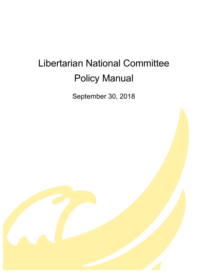# Libertarian National Committee Policy Manual

September 30, 2018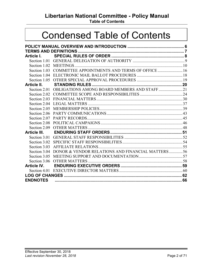# **Libertarian National Committee - Policy Manual**

**Table of Contents**

# Condensed Table of Contents

| Article I.         |                                                               |  |
|--------------------|---------------------------------------------------------------|--|
|                    |                                                               |  |
|                    |                                                               |  |
|                    | Section 1.03 COMMITTEE APPOINTMENTS AND TERMS OF OFFICE  16   |  |
|                    |                                                               |  |
|                    |                                                               |  |
| Article II.        |                                                               |  |
|                    | Section 2.01 OBLIGATIONS AMONG BOARD MEMBERS AND STAFF21      |  |
|                    |                                                               |  |
|                    |                                                               |  |
|                    |                                                               |  |
|                    |                                                               |  |
|                    |                                                               |  |
|                    |                                                               |  |
| Section 2.08       |                                                               |  |
|                    |                                                               |  |
| Article III.       |                                                               |  |
|                    |                                                               |  |
|                    |                                                               |  |
| Section 3.03       |                                                               |  |
|                    | Section 3.04 DONOR & VENDOR RELATIONS AND FINANCIAL MATTERS56 |  |
| Section 3.05       |                                                               |  |
|                    |                                                               |  |
| <b>Article IV.</b> |                                                               |  |
|                    |                                                               |  |
|                    |                                                               |  |
| <b>ENDNOTES</b>    |                                                               |  |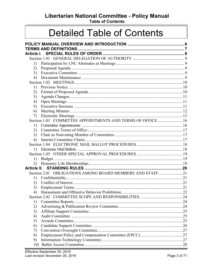# Libertarian National Committee - Policy Manual

**Table of Contents** 

# **Detailed Table of Contents**

| Article I. |                                                             |  |
|------------|-------------------------------------------------------------|--|
|            |                                                             |  |
|            |                                                             |  |
| 1)         |                                                             |  |
| 2)         |                                                             |  |
| 3)         |                                                             |  |
| 4)         |                                                             |  |
|            |                                                             |  |
| 1)         |                                                             |  |
| 2)         |                                                             |  |
| 3)         |                                                             |  |
| 4)         |                                                             |  |
| 5)         |                                                             |  |
| 6)         |                                                             |  |
| 7)         |                                                             |  |
|            | Section 1.03 COMMITTEE APPOINTMENTS AND TERMS OF OFFICE  16 |  |
| 1)         |                                                             |  |
| 2)         |                                                             |  |
| 3)         |                                                             |  |
| 4)         |                                                             |  |
|            |                                                             |  |
| 1)         |                                                             |  |
|            |                                                             |  |
| 1)         |                                                             |  |
| 2)         |                                                             |  |
|            |                                                             |  |
|            | Section 2.01 OBLIGATIONS AMONG BOARD MEMBERS AND STAFF21    |  |
| 1)         |                                                             |  |
| 2)         |                                                             |  |
| 3)         |                                                             |  |
| 4)         |                                                             |  |
|            |                                                             |  |
| 1)         |                                                             |  |
| 2)         |                                                             |  |
| 3)         |                                                             |  |
| 4)         |                                                             |  |
| 5)         |                                                             |  |
| 6)         |                                                             |  |
| 7)         |                                                             |  |
| 8)         |                                                             |  |
| 9)         |                                                             |  |
| 10)        |                                                             |  |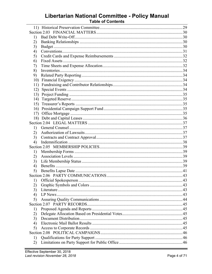# Libertarian National Committee - Policy Manual<br>Table of Contents

| 1)  |  |
|-----|--|
| 2)  |  |
| 3)  |  |
| 4)  |  |
| 5)  |  |
| 6)  |  |
| 7)  |  |
| 8)  |  |
| 9)  |  |
| 10) |  |
| 11) |  |
| 12) |  |
| 13) |  |
| 14) |  |
| 15) |  |
| 16) |  |
|     |  |
|     |  |
|     |  |
| 1)  |  |
| 2)  |  |
| 3)  |  |
| 4)  |  |
|     |  |
| 1)  |  |
| 2)  |  |
| 3)  |  |
| 4)  |  |
| 5)  |  |
|     |  |
|     |  |
| 2)  |  |
| 3)  |  |
| 4)  |  |
| 5)  |  |
|     |  |
| 1)  |  |
| 2)  |  |
| 3)  |  |
| 4)  |  |
| 5)  |  |
|     |  |
| 1)  |  |
| 2)  |  |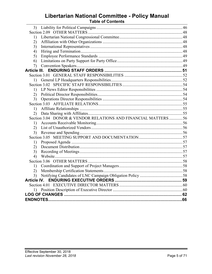# Libertarian National Committee - Policy Manual

| 3)                                                            |  |
|---------------------------------------------------------------|--|
|                                                               |  |
| 1)                                                            |  |
| 2)                                                            |  |
| 3)                                                            |  |
| 4)                                                            |  |
| 5)                                                            |  |
| 6)                                                            |  |
| 7)                                                            |  |
|                                                               |  |
|                                                               |  |
| 1)                                                            |  |
|                                                               |  |
| 1)                                                            |  |
| 2)                                                            |  |
| 3)                                                            |  |
|                                                               |  |
| 1)                                                            |  |
| 2)                                                            |  |
| Section 3.04 DONOR & VENDOR RELATIONS AND FINANCIAL MATTERS56 |  |
| 1)                                                            |  |
| 2)                                                            |  |
| 3)                                                            |  |
|                                                               |  |
| 1)                                                            |  |
| 2)                                                            |  |
| 3)                                                            |  |
| 4)                                                            |  |
|                                                               |  |
| 1)                                                            |  |
| 2)                                                            |  |
| 3)                                                            |  |
|                                                               |  |
|                                                               |  |
|                                                               |  |
|                                                               |  |
|                                                               |  |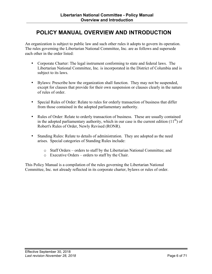# <span id="page-5-0"></span>**POLICY MANUAL OVERVIEW AND INTRODUCTION**

An organization is subject to public law and such other rules it adopts to govern its operation. The rules governing the Libertarian National Committee, Inc. are as follows and supersede each other in the order listed:

- Corporate Charter: The legal instrument conforming to state and federal laws. The Libertarian National Committee, Inc. is incorporated in the District of Columbia and is subject to its laws.
- Bylaws: Prescribe how the organization shall function. They may not be suspended, except for clauses that provide for their own suspension or clauses clearly in the nature of rules of order.
- Special Rules of Order: Relate to rules for orderly transaction of business that differ from those contained in the adopted parliamentary authority.
- Rules of Order: Relate to orderly transaction of business. These are usually contained in the adopted parliamentary authority, which in our case is the current edition  $(11<sup>th</sup>)$  of Robert's Rules of Order, Newly Revised (RONR).
- Standing Rules: Relate to details of administration. They are adopted as the need arises. Special categories of Standing Rules include:
	- o Staff Orders orders to staff by the Libertarian National Committee; and
	- o Executive Orders orders to staff by the Chair.

This Policy Manual is a compilation of the rules governing the Libertarian National Committee, Inc. not already reflected in its corporate charter, bylaws or rules of order.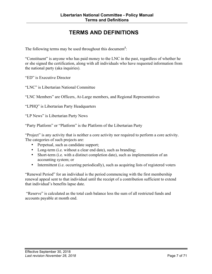# **TERMS AND DEFINITIONS**

<span id="page-6-0"></span>The following terms may be used throughout this document**<sup>1</sup>** :

"Constituent" is anyone who has paid money to the LNC in the past, regardless of whether he or she signed the certification, along with all individuals who have requested information from the national party (aka inquiries).

"ED" is Executive Director

"LNC" is Libertarian National Committee

"LNC Members" are Officers, At-Large members, and Regional Representatives

"LPHQ" is Libertarian Party Headquarters

"LP News" is Libertarian Party News

"Party Platform" or "Platform" is the Platform of the Libertarian Party

"Project" is any activity that is neither a core activity nor required to perform a core activity. The categories of such projects are:

- Perpetual, such as candidate support;
- Long-term (i.e. without a clear end date), such as branding;
- Short-term (i.e. with a distinct completion date), such as implementation of an accounting system; or
- Intermittent (i.e. occurring periodically), such as acquiring lists of registered voters

"Renewal Period" for an individual is the period commencing with the first membership renewal appeal sent to that individual until the receipt of a contribution sufficient to extend that individual's benefits lapse date.

"Reserve" is calculated as the total cash balance less the sum of all restricted funds and accounts payable at month end.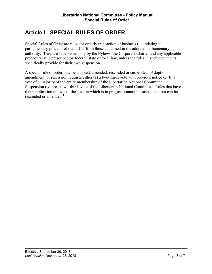# <span id="page-7-0"></span>**Article I. SPECIAL RULES OF ORDER**

Special Rules of Order are rules for orderly transaction of business (i.e. relating to parliamentary procedure) that differ from those contained in the adopted parliamentary authority. They are superseded only by the Bylaws, the Corporate Charter and any applicable procedural rule prescribed by federal, state or local law, unless the rules in such documents specifically provide for their own suspension.

A special rule of order may be adopted, amended, rescinded or suspended. Adoption, amendment, or rescission requires either (a) a two-thirds vote with previous notice or (b) a vote of a majority of the entire membership of the Libertarian National Committee. Suspension requires a two-thirds vote of the Libertarian National Committee. Rules that have their application outside of the session which is in progress cannot be suspended, but can be rescinded or amended. **2**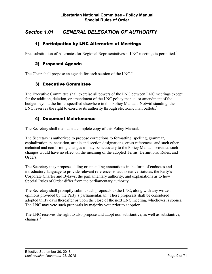## <span id="page-8-0"></span>*Section 1.01 GENERAL DELEGATION OF AUTHORITY*

#### 1) Participation by LNC Alternates at Meetings

Free substitution of Alternates for Regional Representatives at LNC meetings is permitted.<sup>3</sup>

#### 2) Proposed Agenda

The Chair shall propose an agenda for each session of the LNC.<sup>4</sup>

#### 3) Executive Committee

The Executive Committee shall exercise all powers of the LNC between LNC meetings except for the addition, deletion, or amendment of the LNC policy manual or amendment of the budget beyond the limits specified elsewhere in this Policy Manual. Notwithstanding, the LNC reserves the right to exercise its authority through electronic mail ballots.<sup>5</sup>

#### 4) Document Maintenance

The Secretary shall maintain a complete copy of this Policy Manual.

The Secretary is authorized to propose corrections to formatting, spelling, grammar, capitalization, punctuation, article and section designations, cross-references, and such other technical and conforming changes as may be necessary to the Policy Manual, provided such changes would have no effect on the meaning of the adopted Terms, Definitions, Rules, and **Orders** 

The Secretary may propose adding or amending annotations in the form of endnotes and introductory language to provide relevant references to authoritative statutes, the Party's Corporate Charter and Bylaws, the parliamentary authority, and explanations as to how Special Rules of Order differ from the parliamentary authority.

The Secretary shall promptly submit such proposals to the LNC, along with any written opinions provided by the Party's parliamentarian. These proposals shall be considered adopted thirty days thereafter or upon the close of the next LNC meeting, whichever is sooner. The LNC may veto such proposals by majority vote prior to adoption.

The LNC reserves the right to also propose and adopt non-substantive, as well as substantive, changes.<sup>6</sup>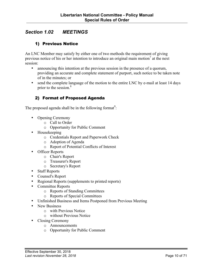## <span id="page-9-0"></span>*Section 1.02 MEETINGS*

#### 1) Previous Notice

An LNC Member may satisfy by either one of two methods the requirement of giving previous notice of his or her intention to introduce an original main motion<sup>7</sup> at the next session:

- announcing this intention at the previous session in the presence of a quorum, providing an accurate and complete statement of purport, such notice to be taken note of in the minutes; or
- send the complete language of the motion to the entire LNC by e-mail at least 14 days prior to the session. 8

#### 2) Format of Proposed Agenda

The proposed agenda shall be in the following format<sup>9</sup>:

- Opening Ceremony
	- o Call to Order
	- o Opportunity for Public Comment
- Housekeeping
	- o Credentials Report and Paperwork Check
	- o Adoption of Agenda
	- o Report of Potential Conflicts of Interest
- Officer Reports
	- o Chair's Report
	- o Treasurer's Report
	- o Secretary's Report
- Staff Reports
- Counsel's Report
- Regional Reports (supplements to printed reports)
- Committee Reports
	- o Reports of Standing Committees
	- o Reports of Special Committees
- Unfinished Business and Items Postponed from Previous Meeting
- New Business
	- o with Previous Notice
	- o without Previous Notice
- Closing Ceremony
	- o Announcements
	- o Opportunity for Public Comment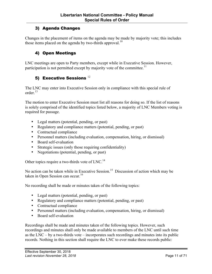## <span id="page-10-0"></span>3) Agenda Changes

Changes in the placement of items on the agenda may be made by majority vote; this includes those items placed on the agenda by two-thirds approval.<sup>10</sup>

#### 4) Open Meetings

LNC meetings are open to Party members, except while in Executive Session. However, participation is not permitted except by majority vote of the committee.<sup>11</sup>

## 5) Executive Sessions  $^{12}$

The LNC may enter into Executive Session only in compliance with this special rule of order $^{13}$ 

The motion to enter Executive Session must list all reasons for doing so. If the list of reasons is solely comprised of the identified topics listed below, a majority of LNC Members voting is required for passage.

- Legal matters (potential, pending, or past)
- Regulatory and compliance matters (potential, pending, or past)
- Contractual compliance
- Personnel matters (including evaluation, compensation, hiring, or dismissal)
- Board self-evaluation
- Strategic issues (only those requiring confidentiality)
- Negotiations (potential, pending, or past)

Other topics require a two-thirds vote of LNC.<sup>14</sup>

No action can be taken while in Executive Session.<sup>15</sup> Discussion of action which may be taken in Open Session can occur.<sup>16</sup>

No recording shall be made or minutes taken of the following topics:

- Legal matters (potential, pending, or past)
- Regulatory and compliance matters (potential, pending, or past)
- Contractual compliance
- Personnel matters (including evaluation, compensation, hiring, or dismissal)
- Board self-evaluation

Recordings shall be made and minutes taken of the following topics. However, such recordings and minutes shall only be made available to members of the LNC until such time as the  $\overline{\text{LNC}}$  – by a two-thirds vote – incorporates such recordings and minutes into its public records. Nothing in this section shall require the LNC to ever make these records public: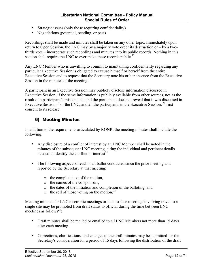- <span id="page-11-0"></span>• Strategic issues (only those requiring confidentiality)
- Negotiations (potential, pending, or past)

Recordings shall be made and minutes shall be taken on any other topic. Immediately upon return to Open Session, the LNC may by a majority vote order its destruction or – by a twothirds vote – incorporate such recordings and minutes into its public records. Nothing in this section shall require the LNC to ever make these records public.<sup>17</sup>

Any LNC Member who is unwilling to commit to maintaining confidentiality regarding any particular Executive Session is obligated to excuse himself or herself from the entire Executive Session and to request that the Secretary note his or her absence from the Executive Session in the minutes of the meeting.<sup>18</sup>

A participant in an Executive Session may publicly disclose information discussed in Executive Session, if the same information is publicly available from other sources, not as the result of a participant's misconduct, and the participant does not reveal that it was discussed in Executive Session;<sup>19</sup> or the LNC, and all the participants in the Executive Session,<sup>20</sup> first consent to its release.

## 6) Meeting Minutes

In addition to the requirements articulated by RONR, the meeting minutes shall include the following:

- Any disclosure of a conflict of interest by an LNC Member shall be noted in the minutes of the subsequent LNC meeting, citing the individual and pertinent details needed to identify the conflict of interest $^{21}$
- The following aspects of each mail ballot conducted since the prior meeting and reported by the Secretary at that meeting:
	- o the complete text of the motion,
	- o the names of the co-sponsors,
	- o the dates of the initiation and completion of the balloting, and
	- $\circ$  the roll of those voting on the motion.<sup>22</sup>

Meeting minutes for LNC electronic meetings or face-to-face meetings involving travel to a single site may be promoted from draft status to official during the time between LNC meetings as follows<sup>23</sup>:

- Draft minutes shall be mailed or emailed to all LNC Members not more than 15 days after each meeting.
- Corrections, clarifications, and changes to the draft minutes may be submitted for the Secretary's consideration for a period of 15 days following the distribution of the draft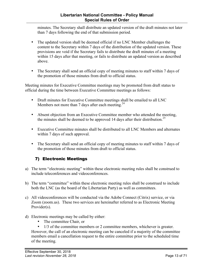#### **Libertarian National Committee - Policy Manual Special Rules of Order**

<span id="page-12-0"></span>minutes. The Secretary shall distribute an updated version of the draft minutes not later than 7 days following the end of that submission period.

- The updated version shall be deemed official if no LNC Member challenges the content to the Secretary within 7 days of the distribution of the updated version. These provisions are void if the Secretary fails to distribute the draft minutes of a meeting within 15 days after that meeting, or fails to distribute an updated version as described above.
- The Secretary shall send an official copy of meeting minutes to staff within 7 days of the promotion of those minutes from draft to official status.

Meeting minutes for Executive Committee meetings may be promoted from draft status to official during the time between Executive Committee meetings as follows:

- Draft minutes for Executive Committee meetings shall be emailed to all LNC Members not more than 7 days after each meeting. $^{24}$
- Absent objection from an Executive Committee member who attended the meeting, the minutes shall be deemed to be approved 14 days after their distribution.<sup>25</sup>
- Executive Committee minutes shall be distributed to all LNC Members and alternates within 7 days of such approval.
- The Secretary shall send an official copy of meeting minutes to staff within 7 days of the promotion of those minutes from draft to official status.

## 7) Electronic Meetings

- a) The term "electronic meeting" within these electronic meeting rules shall be construed to include teleconferences and videoconferences.
- b) The term "committee" within these electronic meeting rules shall be construed to include both the LNC (as the board of the Libertarian Party) as well as committees.
- c) All videoconferences will be conducted via the Adobe Connect (Citrix) service, or via Zoom (zoom.us). These two services are hereinafter referred to as Electronic Meeting Provider(s).
- d) Electronic meetings may be called by either:
	- The committee Chair, or
	- 1/3 of the committee members or 2 committee members, whichever is greater.

However, the call of an electronic meeting can be canceled if a majority of the committee members email a cancellation request to the entire committee prior to the scheduled time of the meeting.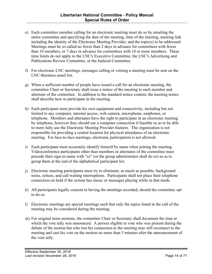- e) Each committee member calling for an electronic meeting must do so by emailing the entire committee and specifying the date of the meeting, time of the meeting, meeting link including the identity of the Electronic Meeting Provider, and the topic(s) to be addressed. Meetings must be so called no fewer than 2 days in advance for committees with fewer than 10 members, or 7 days in advance for committees with 10 or more members. These time limits do not apply to the LNC's Executive Committee, the LNC's Advertising and Publications Review Committee, or the Judicial Committee.
- f) For electronic LNC meetings, messages calling or vetoing a meeting must be sent on the LNC-Business email list.
- g) When a sufficient number of people have issued a call for an electronic meeting, the committee Chair or Secretary shall issue a notice of the meeting to each member and alternate of the committee. In addition to the standard notice content, the meeting notice shall describe how to participate in the meeting.
- h) Each participant must provide his own equipment and connectivity, including but not limited to any computer, internet access, web camera, microphone, earphones, or telephone. Members and alternates have the right to participate in an electronic meeting by telephone, however they should use a computer connection if feasible so as to be able to more fully use the Electronic Meeting Provider features. The organization is not responsible for providing a central location for physical attendance of an electronic meeting. For face-to-face meetings, electronic participation is not allowed.
- i) Each participant must accurately identify himself by name when joining the meeting. Videoconference participants other than members or alternates of the committee must precede their sign-in name with "zz" (or the group administrator shall do so) so as to group them at the end of the alphabetical participant list.
- j) Electronic meeting participants must try to eliminate, as much as possible, background noise, echoes, and call waiting interruptions. Participants shall not place their telephone connection on hold if the system has music or messages playing while in that mode.
- k) All participants legally consent to having the meetings recorded, should the committee opt to do so.
- l) Electronic meetings are special meetings such that only the topics listed in the call of the meeting may be considered during the meeting.
- m) For original main motions, the committee Chair or Secretary shall document the time at which the vote tally was announced. A person eligible to vote who was present during the debate of the motion but who lost his connection to the meeting may still reconnect to the meeting and cast his vote on the motion no more than 5 minutes after the announcement of the vote tally.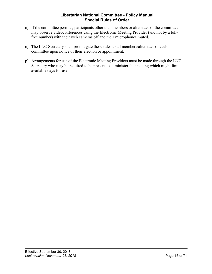- n) If the committee permits, participants other than members or alternates of the committee may observe videoconferences using the Electronic Meeting Provider (and not by a tollfree number) with their web cameras off and their microphones muted.
- o) The LNC Secretary shall promulgate these rules to all members/alternates of each committee upon notice of their election or appointment.
- p) Arrangements for use of the Electronic Meeting Providers must be made through the LNC Secretary who may be required to be present to administer the meeting which might limit available days for use.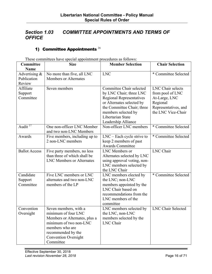## <span id="page-15-0"></span>*Section 1.03 COMMITTEE APPOINTMENTS AND TERMS OF OFFICE*

## 1) Committee Appointments  $^{26}$

These committees have special appointment procedures as follows:

| Committee<br><b>Name</b>                  | <b>Size</b>                                                                                                                                                                                  | <b>Member Selection</b>                                                                                                                                                                                              | <b>Chair Selection</b>                                                                                           |
|-------------------------------------------|----------------------------------------------------------------------------------------------------------------------------------------------------------------------------------------------|----------------------------------------------------------------------------------------------------------------------------------------------------------------------------------------------------------------------|------------------------------------------------------------------------------------------------------------------|
| Advertising $\&$<br>Publication<br>Review | No more than five, all LNC<br><b>Members or Alternates</b>                                                                                                                                   | <b>LNC</b>                                                                                                                                                                                                           | * Committee Selected                                                                                             |
| Affiliate<br>Support<br>Committee         | Seven members                                                                                                                                                                                | Committee Chair selected<br>by LNC Chair; three LNC<br><b>Regional Representatives</b><br>or Alternates selected by<br>the Committee Chair; three<br>members selected by<br>Libertarian State<br>Leadership Alliance | LNC Chair selects<br>from pool of LNC<br>At-Large, LNC<br>Regional<br>Representatives, and<br>the LNC Vice-Chair |
| Audit $^{27}$                             | One non-officer LNC Member<br>and two non-LNC Members                                                                                                                                        | Non-officer LNC members                                                                                                                                                                                              | * Committee Selected                                                                                             |
| Awards                                    | Five members, including up to<br>2 non-LNC members                                                                                                                                           | $LNC$ – Each cycle strive to<br>keep 2 members of past<br><b>Awards Committee</b>                                                                                                                                    | * Committee Selected                                                                                             |
| <b>Ballot Access</b>                      | Five party members, no less<br>than three of which shall be<br><b>LNC Members or Alternates</b>                                                                                              | LNC Members or<br>Alternates selected by LNC<br>using approval voting, non-<br>LNC members selected by<br>the LNC Chair                                                                                              | <b>LNC</b> Chair                                                                                                 |
| Candidate<br>Support<br>Committee         | Five LNC members or LNC<br>alternates and two non-LNC<br>members of the LP                                                                                                                   | LNC members elected by<br>the LNC; non-LNC<br>members appointed by the<br>LNC Chair based on<br>recommendations from the<br>LNC members of the<br>committee                                                          | * Committee Selected                                                                                             |
| Convention<br>Oversight                   | Seven members, with a<br>minimum of four LNC<br>Members or Alternates, plus a<br>minimum of two non-LNC<br>members who are<br>recommended by the<br><b>Convention Oversight</b><br>Committee | LNC members selected by<br>the LNC, non-LNC<br>members selected by the<br>LNC Chair                                                                                                                                  | <b>LNC Chair Selected</b>                                                                                        |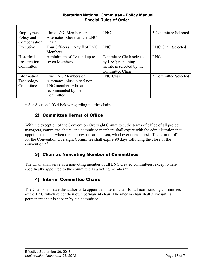#### **Libertarian National Committee - Policy Manual Special Rules of Order**

<span id="page-16-0"></span>

| Employment   | Three LNC Members or          | <b>LNC</b>               | * Committee Selected      |
|--------------|-------------------------------|--------------------------|---------------------------|
| Policy and   | Alternates other than the LNC |                          |                           |
| Compensation | Chair                         |                          |                           |
| Executive    | Four Officers + Any # of LNC  | <b>LNC</b>               | <b>LNC Chair Selected</b> |
|              | <b>Members</b>                |                          |                           |
| Historical   | A minimum of five and up to   | Committee Chair selected | <b>LNC</b>                |
| Preservation | seven Members                 | by LNC; remaining        |                           |
| Committee    |                               | members selected by the  |                           |
|              |                               | Committee Chair          |                           |
| Information  | Two LNC Members or            | <b>LNC</b> Chair         | * Committee Selected      |
| Technology   | Alternates, plus up to 5 non- |                          |                           |
| Committee    | LNC members who are           |                          |                           |
|              | recommended by the IT         |                          |                           |
|              | Committee                     |                          |                           |

\* See Section 1.03.4 below regarding interim chairs

## 2) Committee Terms of Office

With the exception of the Convention Oversight Committee, the terms of office of all project managers, committee chairs, and committee members shall expire with the administration that appoints them, or when their successors are chosen, whichever occurs first. The term of office for the Convention Oversight Committee shall expire 90 days following the close of the convention. <sup>28</sup>

#### 3) Chair as Nonvoting Member of Committees

The Chair shall serve as a nonvoting member of all LNC created committees, except where specifically appointed to the committee as a voting member.<sup>29</sup>

#### 4) Interim Committee Chairs

The Chair shall have the authority to appoint an interim chair for all non-standing committees of the LNC which select their own permanent chair. The interim chair shall serve until a permanent chair is chosen by the committee.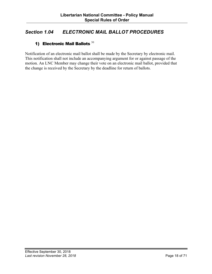## <span id="page-17-0"></span>*Section 1.04 ELECTRONIC MAIL BALLOT PROCEDURES*

## 1) Electronic Mail Ballots  $30$

Notification of an electronic mail ballot shall be made by the Secretary by electronic mail. This notification shall not include an accompanying argument for or against passage of the motion. An LNC Member may change their vote on an electronic mail ballot, provided that the change is received by the Secretary by the deadline for return of ballots.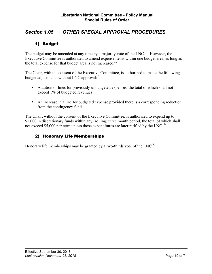## <span id="page-18-0"></span>*Section 1.05 OTHER SPECIAL APPROVAL PROCEDURES*

## 1) Budget

The budget may be amended at any time by a majority vote of the LNC.<sup>31</sup> However, the Executive Committee is authorized to amend expense items within one budget area, as long as the total expense for that budget area is not increased.<sup>32</sup>

The Chair, with the consent of the Executive Committee, is authorized to make the following budget adjustments without LNC approval:  $33$ 

- Addition of lines for previously unbudgeted expenses, the total of which shall not exceed 1% of budgeted revenues
- An increase in a line for budgeted expense provided there is a corresponding reduction from the contingency fund.

The Chair, without the consent of the Executive Committee, is authorized to expend up to \$1,000 in discretionary funds within any (rolling) three month period, the total of which shall not exceed \$5,000 per term unless those expenditures are later ratified by the LNC.<sup>34</sup>

## 2) Honorary Life Memberships

Honorary life memberships may be granted by a two-thirds vote of the LNC.<sup>35</sup>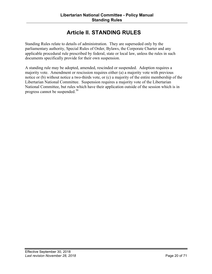# **Article II. STANDING RULES**

<span id="page-19-0"></span>Standing Rules relate to details of administration. They are superseded only by the parliamentary authority, Special Rules of Order, Bylaws, the Corporate Charter and any applicable procedural rule prescribed by federal, state or local law, unless the rules in such documents specifically provide for their own suspension.

A standing rule may be adopted, amended, rescinded or suspended. Adoption requires a majority vote. Amendment or rescission requires either (a) a majority vote with previous notice or (b) without notice a two-thirds vote, or (c) a majority of the entire membership of the Libertarian National Committee. Suspension requires a majority vote of the Libertarian National Committee, but rules which have their application outside of the session which is in progress cannot be suspended.<sup>36</sup>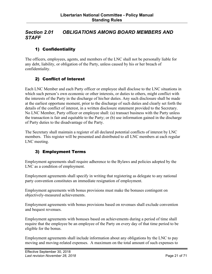## <span id="page-20-0"></span>*Section 2.01 OBLIGATIONS AMONG BOARD MEMBERS AND STAFF*

## 1) Confidentiality

The officers, employees, agents, and members of the LNC shall not be personally liable for any debt, liability, or obligation of the Party, unless caused by his or her breach of confidentiality.

## 2) Conflict of Interest

Each LNC Member and each Party officer or employee shall disclose to the LNC situations in which such person's own economic or other interests, or duties to others, might conflict with the interests of the Party in the discharge of his/her duties. Any such disclosure shall be made at the earliest opportune moment, prior to the discharge of such duties and clearly set forth the details of the conflict of interest, in a written disclosure statement provided to the Secretary. No LNC Member, Party officer or employee shall: (a) transact business with the Party unless the transaction is fair and equitable to the Party; or (b) use information gained in the discharge of Party duties to the disadvantage of the Party.

The Secretary shall maintain a register of all declared potential conflicts of interest by LNC members. This register will be presented and distributed to all LNC members at each regular LNC meeting.

#### 3) Employment Terms

Employment agreements shall require adherence to the Bylaws and policies adopted by the LNC as a condition of employment.

Employment agreements shall specify in writing that registering as delegate to any national party convention constitutes an immediate resignation of employment.

Employment agreements with bonus provisions must make the bonuses contingent on objectively-measured achievements.

Employment agreements with bonus provisions based on revenues shall exclude convention and bequest revenues.

Employment agreements with bonuses based on achievements during a period of time shall require that the employee be an employee of the Party on every day of that time period to be eligible for the bonus.

Employment agreements shall include information about any obligations by the LNC to pay moving and moving-related expenses. A maximum on the total amount of such expenses to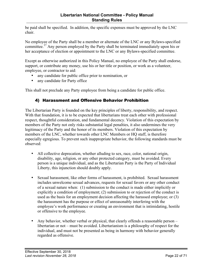<span id="page-21-0"></span>be paid shall be specified. In addition, the specific expenses must be approved by the LNC chair.

No employee of the Party shall be a member or alternate of the LNC or any Bylaws-specified committee.<sup>37</sup> Any person employed by the Party shall be terminated immediately upon his or her acceptance of election or appointment to the LNC or any Bylaws-specified committee.

Except as otherwise authorized in this Policy Manual, no employee of the Party shall endorse, support, or contribute any money, use his or her title or position, or work as a volunteer, employee, or contractor to aid:

- any candidate for public office prior to nomination, or
- any candidate for Party office

This shall not preclude any Party employee from being a candidate for public office.

#### 4) Harassment and Offensive Behavior Prohibition

The Libertarian Party is founded on the key principles of liberty, responsibility, and respect. With that foundation, it is to be expected that libertarians treat each other with professional respect, thoughtful consideration, and fundamental decency. Violation of this expectation by members of the Party not only risks substantial legal penalties, it also undermines the very legitimacy of the Party and the honor of its members. Violation of this expectation by members of the LNC, whether towards other LNC Members or HQ staff, is therefore especially egregious. To prevent such inappropriate behavior, the following standards must be observed:

- All collective deprecation, whether alluding to sex, race, color, national origin, disability, age, religion, or any other protected category, must be avoided. Every person is a unique individual, and as the Libertarian Party is the Party of Individual Liberty, this injunction should doubly apply.
- Sexual harassment, like other forms of harassment, is prohibited. Sexual harassment includes unwelcome sexual advances, requests for sexual favors or any other conduct of a sexual nature when: (1) submission to the conduct is made either implicitly or explicitly a condition of employment; (2) submission to or rejection of the conduct is used as the basis for an employment decision affecting the harassed employee; or (3) the harassment has the purpose or effect of unreasonably interfering with the employee's work performance or creating an environment that is intimidating, hostile or offensive to the employee.
- Any behavior, whether verbal or physical, that clearly offends a reasonable person libertarian or not – must be avoided. Libertarianism is a philosophy of respect for the individual, and must not be presented as being in harmony with behavior generally regarded as offensive.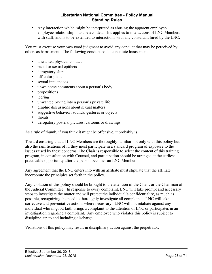• Any interaction which might be interpreted as abusing the apparent employeremployee relationship must be avoided. This applies to interactions of LNC Members with staff, and is to be extended to interactions with any consultant hired by the LNC.

You must exercise your own good judgment to avoid any conduct that may be perceived by others as harassment. The following conduct could constitute harassment:

- unwanted physical contact
- racial or sexual epithets
- derogatory slurs
- off-color jokes
- sexual innuendoes
- unwelcome comments about a person's body
- propositions
- leering
- unwanted prying into a person's private life
- graphic discussions about sexual matters
- suggestive behavior, sounds, gestures or objects
- threats
- derogatory posters, pictures, cartoons or drawings

As a rule of thumb, if you think it might be offensive, it probably is.

Toward ensuring that all LNC Members are thoroughly familiar not only with this policy but also the ramifications of it, they must participate in a standard program of exposure to the issues raised by these concerns. The Chair is responsible to select the content of this training program, in consultation with Counsel, and participation should be arranged at the earliest practicable opportunity after the person becomes an LNC Member.

Any agreement that the LNC enters into with an affiliate must stipulate that the affiliate incorporate the principles set forth in the policy.

Any violation of this policy should be brought to the attention of the Chair, or the Chairman of the Judicial Committee. In response to every complaint, LNC will take prompt and necessary steps to investigate the matter and will protect the individual's confidentiality, as much as possible, recognizing the need to thoroughly investigate all complaints. LNC will take corrective and preventative actions where necessary. LNC will not retaliate against any individual who in good faith brings a complaint to the attention of LNC or participates in an investigation regarding a complaint. Any employee who violates this policy is subject to discipline, up to and including discharge.

Violations of this policy may result in disciplinary action against the perpetrator.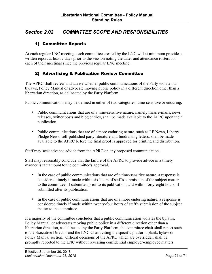## <span id="page-23-0"></span>*Section 2.02 COMMITTEE SCOPE AND RESPONSIBILITIES*

## 1) Committee Reports

At each regular LNC meeting, each committee created by the LNC will at minimum provide a written report at least 7 days prior to the session noting the dates and attendance rosters for each of their meetings since the previous regular LNC meeting.

#### 2) Advertising & Publication Review Committee

The APRC shall review and advise whether public communications of the Party violate our bylaws, Policy Manual or advocate moving public policy in a different direction other than a libertarian direction, as delineated by the Party Platform.

Public communications may be defined in either of two categories: time-sensitive or enduring.

- Public communications that are of a time-sensitive nature, namely mass e-mails, news releases, twitter posts and blog entries, shall be made available to the APRC upon their publication.
- Public communications that are of a more enduring nature, such as LP News, Liberty Pledge News, self-published party literature and fundraising letters, shall be made available to the APRC before the final proof is approved for printing and distribution.

Staff may seek advance advice from the APRC on any proposed communication.

Staff may reasonably conclude that the failure of the APRC to provide advice in a timely manner is tantamount to the committee's approval.

- In the case of public communications that are of a time-sensitive nature, a response is considered timely if made within six hours of staff's submission of the subject matter to the committee, if submitted prior to its publication; and within forty-eight hours, if submitted after its publication.
- In the case of public communications that are of a more enduring nature, a response is considered timely if made within twenty-four hours of staff's submission of the subject matter to the committee.

If a majority of the committee concludes that a public communication violates the bylaws, Policy Manual, or advocates moving public policy in a different direction other than a libertarian direction, as delineated by the Party Platform, the committee chair shall report such to the Executive Director and the LNC Chair, citing the specific platform plank, bylaw or Policy Manual section. Official decisions of the APRC which are overridden shall be promptly reported to the LNC without revealing confidential employer-employee matters.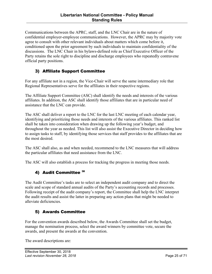<span id="page-24-0"></span>Communications between the APRC, staff, and the LNC Chair are in the nature of confidential employer-employee communications. However, the APRC may by majority vote agree to consult with other relevant individuals about matters which come before it, conditioned upon the prior agreement by such individuals to maintain confidentiality of the discussions. The LNC Chair in his bylaws-defined role as Chief Executive Officer of the Party retains the sole right to discipline and discharge employees who repeatedly contravene official party positions.

## 3) Affiliate Support Committee

For any affiliate not in a region, the Vice-Chair will serve the same intermediary role that Regional Representatives serve for the affiliates in their respective regions.

The Affiliate Support Committee (ASC) shall identify the needs and interests of the various affiliates. In addition, the ASC shall identify those affiliates that are in particular need of assistance that the LNC can provide.

The ASC shall deliver a report to the LNC for the last LNC meeting of each calendar year, identifying and prioritizing those needs and interests of the various affiliates. This ranked list shall be taken into consideration when drawing up the following year's budget, and throughout the year as needed. This list will also assist the Executive Director in deciding how to assign tasks to staff, by identifying those services that staff provides to the affiliates that are the most desired.

The ASC shall also, as and when needed, recommend to the LNC measures that will address the particular affiliates that need assistance from the LNC.

The ASC will also establish a process for tracking the progress in meeting those needs.

#### 4) Audit Committee<sup>38</sup>

The Audit Committee's tasks are to select an independent audit company and to direct the scale and scope of standard annual audits of the Party's accounting records and processes. Following receipt of the audit company's report, the Committee shall help the LNC interpret the audit results and assist the latter in preparing any action plans that might be needed to alleviate deficiencies.

#### 5) Awards Committee

For the convention awards described below, the Awards Committee shall set the budget, manage the nomination process, select the award winners by committee vote, secure the awards, and present the awards at the convention.

The award descriptions are: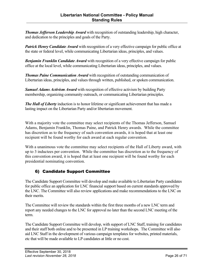<span id="page-25-0"></span>*Thomas Jefferson Leadership Award* with recognition of outstanding leadership, high character, and dedication to the principles and goals of the Party.

*Patrick Henry Candidate Award* with recognition of a very effective campaign for public office at the state or federal level, while communicating Libertarian ideas, principles, and values.

*Benjamin Franklin Candidate Award* with recognition of a very effective campaign for public office at the local level, while communicating Libertarian ideas, principles, and values.

*Thomas Paine Communication Award* with recognition of outstanding communication of Libertarian ideas, principles, and values through written, published, or spoken communication.

*Samuel Adams Activism Award* with recognition of effective activism by building Party membership, organizing community outreach, or communicating Libertarian principles.

*The Hall of Liberty* induction is to honor lifetime or significant achievement that has made a lasting impact on the Libertarian Party and/or libertarian movement.

With a majority vote the committee may select recipients of the Thomas Jefferson, Samuel Adams, Benjamin Franklin, Thomas Paine, and Patrick Henry awards. While the committee has discretion as to the frequency of such convention awards, it is hoped that at least one recipient will be found worthy for each award at each regular convention.

With a unanimous vote the committee may select recipients of the Hall of Liberty award, with up to 3 inductees per convention. While the committee has discretion as to the frequency of this convention award, it is hoped that at least one recipient will be found worthy for each presidential nominating convention.

## 6) Candidate Support Committee

The Candidate Support Committee will develop and make available to Libertarian Party candidates for public office an application for LNC financial support based on current standards approved by the LNC. The Committee will also review applications and make recommendations to the LNC on their merits.

The Committee will review the standards within the first three months of a new LNC term and report any needed changes to the LNC for approval no later than the second LNC meeting of the term.

The Candidate Support Committee will develop, with support of LNC Staff, training for candidates and their staff both online and to be presented in LP training workshops. The Committee will also aid LNC Staff in the development of various campaign templates for websites, printed materials, etc that will be made available to LP candidates at little or no cost.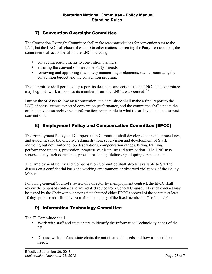## <span id="page-26-0"></span>7) Convention Oversight Committee

The Convention Oversight Committee shall make recommendations for convention sites to the LNC, but the LNC shall choose the site. On other matters concerning the Party's conventions, the committee shall act on behalf of the LNC, including:

- conveying requirements to convention planners.
- ensuring the convention meets the Party's needs.
- reviewing and approving in a timely manner major elements, such as contracts, the convention budget and the convention program.

The committee shall periodically report its decisions and actions to the LNC. The committee may begin its work as soon as its members from the LNC are appointed.<sup>39</sup>

During the 90 days following a convention, the committee shall make a final report to the LNC of actual versus expected convention performance, and the committee shall update the online convention archive with information comparable to what the archive contains for past conventions.

## 8) Employment Policy and Compensation Committee (EPCC)

The Employment Policy and Compensation Committee shall develop documents, procedures, and guidelines for the effective administration, supervision and development of Staff, including but not limited to job descriptions, compensation ranges, hiring, training, performance reviews, promotion, progressive discipline and termination. The LNC may supersede any such documents, procedures and guidelines by adopting a replacement.

The Employment Policy and Compensation Committee shall also be available to Staff to discuss on a confidential basis the working environment or observed violations of the Policy Manual.

Following General Counsel's review of a director-level employment contract, the EPCC shall review the proposed contract and any related advice from General Counsel. No such contract may be signed by the Chair without having first obtained either EPCC approval of the contract at least 10 days prior, or an affirmative vote from a majority of the fixed membership<sup>40</sup> of the LNC.

#### 9) Information Technology Committee

The IT Committee shall

- Work with staff and state chairs to identify the Information Technology needs of the LP;
- Discuss with staff and state chairs the anticipated IT needs and how to meet those needs;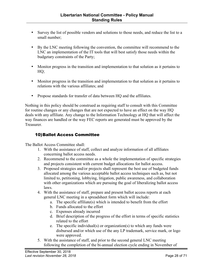- <span id="page-27-0"></span>• Survey the list of possible vendors and solutions to those needs, and reduce the list to a small number;
- By the LNC meeting following the convention, the committee will recommend to the LNC an implementation of the IT tools that will best satisfy those needs within the budgetary constraints of the Party;
- Monitor progress in the transition and implementation to that solution as it pertains to HQ;
- Monitor progress in the transition and implementation to that solution as it pertains to relations with the various affiliates; and
- Propose standards for transfer of data between HQ and the affiliates.

Nothing in this policy should be construed as requiring staff to consult with this Committee for routine changes or any changes that are not expected to have an effect on the way HQ deals with any affiliate. Any change to the Information Technology at HQ that will affect the way finances are handled or the way FEC reports are generated must be approved by the **Treasurer** 

## 10)Ballot Access Committee

The Ballot Access Committee shall:

- 1. With the assistance of staff, collect and analyze information of all affiliates concerning ballot access needs.
- 2. Recommend to the committee as a whole the implementation of specific strategies and projects consistent with current budget allocations for ballot access.
- 3. Proposed strategies and/or projects shall represent the best use of budgeted funds allocated among the various acceptable ballot access techniques such as, but not limited to, petitioning, lobbying, litigation, public awareness, and collaboration with other organizations which are pursuing the goal of liberalizing ballot access laws.
- 4. With the assistance of staff, prepare and present ballot access reports at each general LNC meeting in a spreadsheet form which will include:
	- a. The specific affiliate(s) which is intended to benefit from the effort
	- b. Funds allocated to the effort
	- c. Expenses already incurred
	- d. Brief description of the progress of the effort in terms of specific statistics related to the effort
	- e. The specific individual(s) or organization(s) to which any funds were disbursed and/or which use of the any LP trademark, service mark, or logo were approved.
- 5. With the assistance of staff, and prior to the second general LNC meeting following the completion of the bi-annual election cycle ending in November of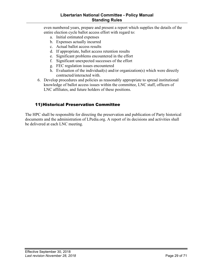#### **Libertarian National Committee - Policy Manual Standing Rules**

<span id="page-28-0"></span>even numbered years, prepare and present a report which supplies the details of the entire election cycle ballot access effort with regard to:

- a. Initial estimated expenses
- b. Expenses actually incurred
- c. Actual ballot access results
- d. If appropriate, ballot access retention results
- e. Significant problems encountered in the effort
- f. Significant unexpected successes of the effort
- g. FEC regulation issues encountered
- h. Evaluation of the individual(s) and/or organization(s) which were directly contracted/interacted with.
- 6. Develop procedures and policies as reasonably appropriate to spread institutional knowledge of ballot access issues within the committee, LNC staff, officers of LNC affiliates, and future holders of these positions.

#### 11)Historical Preservation Committee

The HPC shall be responsible for directing the preservation and publication of Party historical documents and the administration of LPedia.org. A report of its decisions and activities shall be delivered at each LNC meeting.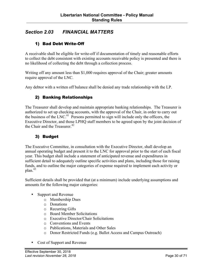## <span id="page-29-0"></span>*Section 2.03 FINANCIAL MATTERS*

## 1) Bad Debt Write-Off

A receivable shall be eligible for write-off if documentation of timely and reasonable efforts to collect the debt consistent with existing accounts receivable policy is presented and there is no likelihood of collecting the debt through a collection process.

Writing off any amount less than \$1,000 requires approval of the Chair; greater amounts require approval of the LNC.

Any debtor with a written off balance shall be denied any trade relationship with the LP.

#### 2) Banking Relationships

The Treasurer shall develop and maintain appropriate banking relationships. The Treasurer is authorized to set up checking accounts, with the approval of the Chair, in order to carry out the business of the LNC.<sup>41</sup> Persons permitted to sign will include only the officers, the Executive Director, and those LPHQ staff members to be agreed upon by the joint decision of the Chair and the Treasurer. $42$ 

## 3) Budget

The Executive Committee, in consultation with the Executive Director, shall develop an annual operating budget and present it to the LNC for approval prior to the start of each fiscal year. This budget shall include a statement of anticipated revenue and expenditures in sufficient detail to adequately outline specific activities and plans, including those for raising funds, and to outline the major categories of expense required to implement each activity or  $plan.<sup>43</sup>$ 

Sufficient details shall be provided that (at a minimum) include underlying assumptions and amounts for the following major categories:

- Support and Revenue
	- o Membership Dues
	- o Donations
	- o Recurring Gifts
	- o Board Member Solicitations
	- o Executive Director/Chair Solicitations
	- o Conventions and Events
	- o Publications, Materials and Other Sales
	- o Donor Restricted Funds (e.g. Ballot Access and Campus Outreach)
- Cost of Support and Revenue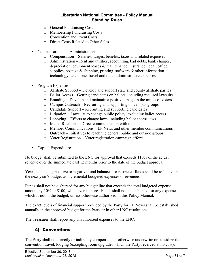- <span id="page-30-0"></span>o General Fundraising Costs
- o Membership Fundraising Costs
- o Convention and Event Costs
- o Direct Costs Related to Other Sales
- Compensation and Administration
	- o Compensation Salaries, wages, benefits, taxes and related expenses
	- o Administration Rent and utilities, accounting, bad debts, bank charges, depreciation, equipment leases & maintenance, insurance, legal, office supplies, postage  $\&$  shipping, printing, software  $\&$  other information technology, telephone, travel and other administrative expenses
- Program Expenses
	- o Affiliate Support Develop and support state and county affiliate parties
	- o Ballot Access Getting candidates on ballots, including required lawsuits
	- o Branding Develop and maintain a positive image in the minds of voters
	- o Campus Outreach Recruiting and supporting on campus groups
	- o Candidate Support Recruiting and supporting candidates
	- o Litigation Lawsuits to change public policy, excluding ballot access
	- o Lobbying Efforts to change laws, including ballot access laws
	- o Media Relations Direct communication with the media
	- o Member Communications LP News and other member communications
	- o Outreach Initiatives to reach the general public and outside groups
	- o Voter Registration Voter registration campaign efforts
- Capital Expenditures

No budget shall be submitted to the LNC for approval that exceeds 110% of the actual revenue over the immediate past 12 months prior to the date of the budget approval.

Year-end closing positive or negative fund balances for restricted funds shall be reflected in the next year's budget as incremental budgeted expenses or revenues.

Funds shall not be disbursed for any budget line that exceeds the total budgeted expense amount by 10% or \$100, whichever is more. Funds shall not be disbursed for any expense which is not in the budget, unless otherwise authorized in this Policy Manual.

The exact levels of financial support provided by the Party for LP News shall be established annually in the approved budget for the Party or in other LNC resolutions.

The Treasurer shall report any unauthorized expenses to the LNC.

#### 4) Conventions

The Party shall not directly or indirectly compensate or otherwise underwrite or subsidize the convention travel, lodging (excepting room upgrades which the Party received at no cost),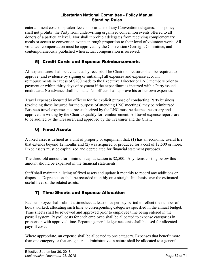#### **Libertarian National Committee - Policy Manual Standing Rules**

<span id="page-31-0"></span>entertainment costs or speaker fees/honorariums of any Convention delegates. This policy shall not prohibit the Party from underwriting organized convention events offered to all donors of a particular level. Nor shall it prohibit delegates from receiving complementary meals or access to convention events in rough proportion to their level of volunteer work. All volunteer compensation must be approved by the Convention Oversight Committee, and contemporaneously published when actual compensation is received.

## 5) Credit Cards and Expense Reimbursements

All expenditures shall be evidenced by receipts. The Chair or Treasurer shall be required to approve (and evidence by signing or initialing) all expenses and expense account reimbursements in excess of \$200 made to the Executive Director or LNC members prior to payment or within thirty days of payment if the expenditure is incurred with a Party issued credit card. No advance shall be made. No officer shall approve his or her own expenses.

Travel expenses incurred by officers for the explicit purpose of conducting Party business (excluding those incurred for the purpose of attending LNC meetings) may be reimbursed. Business travel expenses not pre-authorized by the LNC must be deemed necessary and approved in writing by the Chair to qualify for reimbursement. All travel expense reports are to be audited by the Treasurer, and approved by the Treasurer and the Chair.

## 6) Fixed Assets

A fixed asset is defined as a unit of property or equipment that: (1) has an economic useful life that extends beyond 12 months and (2) was acquired or produced for a cost of \$2,500 or more. Fixed assets must be capitalized and depreciated for financial statement purposes.

The threshold amount for minimum capitalization is \$2,500. Any items costing below this amount should be expensed in the financial statements.

Staff shall maintain a listing of fixed assets and update it monthly to record any additions or disposals. Depreciation shall be recorded monthly on a straight-line basis over the estimated useful lives of the related assets.

## 7) Time Sheets and Expense Allocation

Each employee shall submit a timesheet at least once per pay period to reflect the number of hours worked, allocating such time to corresponding categories specified in the annual budget. Time sheets shall be reviewed and approved prior to employee time being entered in the payroll system. Payroll costs for each employee shall be allocated to expense categories in proportion with approved time. Separate general ledger accounts shall be used for allocated payroll costs.

Where appropriate, an expense shall be allocated to one category. Expenses that benefit more than one category or that are general administrative in nature shall be allocated to a general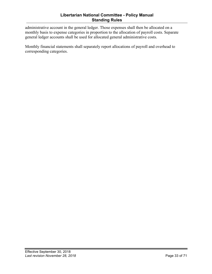#### **Libertarian National Committee - Policy Manual Standing Rules**

administrative account in the general ledger. Those expenses shall then be allocated on a monthly basis to expense categories in proportion to the allocation of payroll costs. Separate general ledger accounts shall be used for allocated general administrative costs.

Monthly financial statements shall separately report allocations of payroll and overhead to corresponding categories.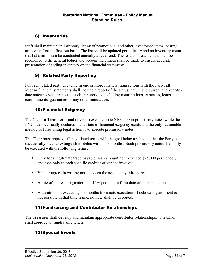## <span id="page-33-0"></span>8) Inventories

Staff shall maintain an inventory listing of promotional and other inventoried items, costing units on a first-in, first-out basis. The list shall be updated periodically and an inventory count shall at a minimum be conducted annually at year-end. The results of each count shall be reconciled to the general ledger and accounting entries shall be made to ensure accurate presentation of ending inventory on the financial statements.

## 9) Related Party Reporting

For each related party engaging in one or more financial transactions with the Party, all interim financial statements shall include a report of the status, nature and current and year-todate amounts with respect to such transactions, including contributions, expenses, loans, commitments, guarantees or any other transaction.

## 10)Financial Exigency

The Chair or Treasurer is authorized to execute up to \$100,000 in promissory notes while the LNC has specifically declared that a state of financial exigency exists and the only reasonable method of forestalling legal action is to execute promissory notes.

The Chair must approve all negotiated terms with the goal being a schedule that the Party can successfully meet to extinguish its debts within six months. Such promissory notes shall only be executed with the following terms:

- Only for a legitimate trade payable in an amount not to exceed \$25,000 per vendor, and then only to each specific creditor or vendor involved.
- Vendor agrees in writing not to assign the note to any third party.
- A rate of interest no greater than 12% per annum from date of note execution.
- A duration not exceeding six months from note execution. If debt extinguishment is not possible in that time frame, no note shall be executed.

## 11)Fundraising and Contributor Relationships

The Treasurer shall develop and maintain appropriate contributor relationships. The Chair shall approve all fundraising letters.

## 12)Special Events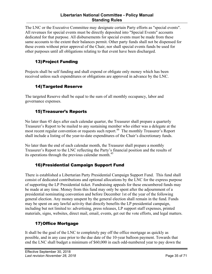#### **Libertarian National Committee - Policy Manual Standing Rules**

<span id="page-34-0"></span>The LNC or the Executive Committee may designate certain Party efforts as "special events". All revenues for special events must be directly deposited into "Special Events" accounts dedicated for that purpose. All disbursements for special events must be made from these same accounts to the extent their balances permit. Other party funds shall not be dispensed for these events without prior approval of the Chair, nor shall special events funds be used for other purposes until all obligations relating to that event have been discharged.

## 13)Project Funding

Projects shall be self funding and shall expend or obligate only money which has been received unless such expenditures or obligations are approved in advance by the LNC.

## 14)Targeted Reserve

The targeted Reserve shall be equal to the sum of all monthly occupancy, labor and governance expenses.

## 15)Treasurer's Reports

No later than 45 days after each calendar quarter, the Treasurer shall prepare a quarterly Treasurer's Report to be mailed to any sustaining member who either was a delegate at the most recent regular convention or requests such report.<sup>44</sup> The monthly Treasurer's Report shall include a listing of the year-to-date expenditures of the Chair's discretionary funds.

No later than the end of each calendar month, the Treasurer shall prepare a monthly Treasurer's Report to the LNC reflecting the Party's financial position and the results of its operations through the previous calendar month.<sup>45</sup>

## 16)Presidential Campaign Support Fund

There is established a Libertarian Party Presidential Campaign Support Fund. This fund shall consist of dedicated contributions and optional allocations by the LNC for the express purpose of supporting the LP Presidential ticket. Fundraising appeals for these encumbered funds may be made at any time. Money from this fund may only be spent after the adjournment of a presidential nominating convention and before December 1st of the year of the following general election. Any money unspent by the general election shall remain in the fund. Funds may be spent on any lawful activity that directly benefits the LP presidential campaign, including but not limited to: advertising, press releases, LP support staff expenses, printed materials, signs, websites, direct mail, email, events, get out the vote efforts, and legal matters.

## 17)Office Mortgage

It shall be the goal of the LNC to completely pay off the office mortgage as quickly as possible, and in any case prior to the due date of the 10-year balloon payment. Towards that end the LNC shall budget a minimum of \$60,000 in each odd-numbered year to pay down the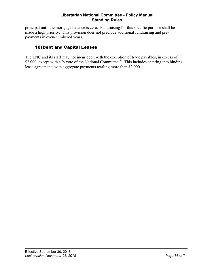<span id="page-35-0"></span>principal until the mortgage balance is zero. Fundraising for this specific purpose shall be made a high priority. This provision does not preclude additional fundraising and prepayments in even-numbered years.

## 18)Debt and Capital Leases

The LNC and its staff may not incur debt, with the exception of trade payables, in excess of \$2,000, except with a <sup>2</sup>/<sub>3</sub> vote of the National Committee.<sup>46</sup> This includes entering into binding lease agreements with aggregate payments totaling more than \$2,000.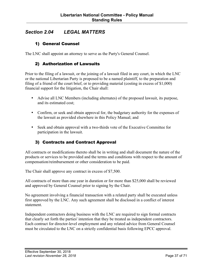## <span id="page-36-0"></span>*Section 2.04 LEGAL MATTERS*

## 1) General Counsel

The LNC shall appoint an attorney to serve as the Party's General Counsel.

#### 2) Authorization of Lawsuits

Prior to the filing of a lawsuit, or the joining of a lawsuit filed in any court, in which the LNC or the national Libertarian Party is proposed to be a named plaintiff, to the preparation and filing of a friend of the court brief, or to providing material (costing in excess of \$1,000) financial support for the litigation, the Chair shall:

- Advise all LNC Members (including alternates) of the proposed lawsuit, its purpose, and its estimated cost;
- Confirm, or seek and obtain approval for, the budgetary authority for the expenses of the lawsuit as provided elsewhere in this Policy Manual; and
- Seek and obtain approval with a two-thirds vote of the Executive Committee for participation in the lawsuit.

## 3) Contracts and Contract Approval

All contracts or modifications thereto shall be in writing and shall document the nature of the products or services to be provided and the terms and conditions with respect to the amount of compensation/reimbursement or other consideration to be paid.

The Chair shall approve any contract in excess of \$7,500.

All contracts of more than one year in duration or for more than \$25,000 shall be reviewed and approved by General Counsel prior to signing by the Chair.

No agreement involving a financial transaction with a related party shall be executed unless first approved by the LNC. Any such agreement shall be disclosed in a conflict of interest statement.

Independent contractors doing business with the LNC are required to sign formal contracts that clearly set forth the parties' intention that they be treated as independent contractors. Each contract for director-level employment and any related advice from General Counsel must be circulated to the LNC on a strictly confidential basis following EPCC approval.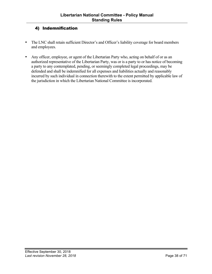## <span id="page-37-0"></span>4) Indemnification

- The LNC shall retain sufficient Director's and Officer's liability coverage for board members and employees.
- Any officer, employee, or agent of the Libertarian Party who, acting on behalf of or as an authorized representative of the Libertarian Party, was or is a party to or has notice of becoming a party to any contemplated, pending, or seemingly completed legal proceedings, may be defended and shall be indemnified for all expenses and liabilities actually and reasonably incurred by such individual in connection therewith to the extent permitted by applicable law of the jurisdiction in which the Libertarian National Committee is incorporated.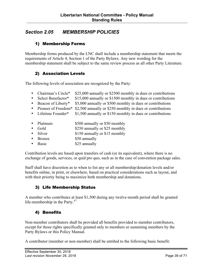## <span id="page-38-0"></span>*Section 2.05 MEMBERSHIP POLICIES*

#### 1) Membership Forms

Membership forms produced by the LNC shall include a membership statement that meets the requirements of Article 4, Section 1 of the Party Bylaws. Any new wording for the membership statement shall be subject to the same review process as all other Party Literature.

#### 2) Association Levels

The following levels of association are recognized by the Party:

- Chairman's Circle\* \$25,000 annually or \$2500 monthly in dues or contributions
- Select Benefactor\* \$15,000 annually or \$1500 monthly in dues or contributions
- Beacon of Liberty\* \$5,000 annually or \$500 monthly in dues or contributions
- Pioneer of Freedom\* \$2,500 annually or \$250 monthly in dues or contributions<br>• Lifetime Founder\* \$1,500 annually or \$150 monthly in dues or contributions
- $$1,500$  annually or  $$150$  monthly in dues or contributions
- Platinum \$500 annually or \$50 monthly
- Gold \$250 annually or \$25 monthly
- Silver \$150 annually or \$15 monthly
- Bronze \$50 annually
- Basic \$25 annually

Contribution levels are based upon transfers of cash (or its equivalent), where there is no exchange of goods, services, or quid pro quo, such as in the case of convention package sales.

Staff shall have discretion as to when to list any or all membership/donation levels and/or benefits online, in print, or elsewhere, based on practical considerations such as layout, and with their priority being to maximize both membership and donations.

## 3) Life Membership Status

A member who contributes at least \$1,500 during any twelve-month period shall be granted life-membership in the Party.<sup>47</sup>

#### 4) Benefits

Non-member contributors shall be provided all benefits provided to member contributors, except for those rights specifically granted only to members or sustaining members by the Party Bylaws or this Policy Manual.

A contributor (member or non-member) shall be entitled to the following basic benefit: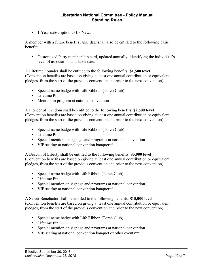• 1-Year subscription to LP News

A member with a future benefits lapse date shall also be entitled to the following basic benefit:

• Customized Party membership card, updated annually, identifying the individual's level of association and lapse date.

A Lifetime Founder shall be entitled to the following benefits: **\$1,500 level**  (Convention benefits are based on giving at least one annual contribution or equivalent pledges, from the start of the previous convention and prior to the next convention)

- Special name badge with Life Ribbon (Torch Club)
- Lifetime Pin
- Mention in program at national convention

A Pioneer of Freedom shall be entitled to the following benefits: **\$2,500 level** (Convention benefits are based on giving at least one annual contribution or equivalent pledges, from the start of the previous convention and prior to the next convention)

- Special name badge with Life Ribbon (Torch Club)
- Lifetime Pin
- Special mention on signage and programs at national convention
- VIP seating at national convention banquet<sup>\*\*</sup>

A Beacon of Liberty shall be entitled to the following benefits: **\$5,000 level** (Convention benefits are based on giving at least one annual contribution or equivalent pledges, from the start of the previous convention and prior to the next convention)

- Special name badge with Life Ribbon (Torch Club)
- Lifetime Pin
- Special mention on signage and programs at national convention
- VIP seating at national convention banquet<sup>\*\*</sup>

A Select Benefactor shall be entitled to the following benefits: **\$15,000 level**  (Convention benefits are based on giving at least one annual contribution or equivalent pledges, from the start of the previous convention and prior to the next convention)

- Special name badge with Life Ribbon (Torch Club)
- Lifetime Pin
- Special mention on signage and programs at national convention
- VIP seating at national convention banquet or other events\*\*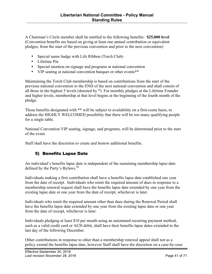<span id="page-40-0"></span>A Chairman's Circle member shall be entitled to the following benefits: **\$25,000 level**  (Convention benefits are based on giving at least one annual contribution or equivalent pledges, from the start of the previous convention and prior to the next convention)

- Special name badge with Life Ribbon (Torch Club)
- Lifetime Pin
- Special mention on signage and programs at national convention
- VIP seating at national convention banquet or other events\*\*

Maintaining the Torch Club membership is based on contributions from the start of the previous national convention to the END of the next national convention and shall consist of all those in the highest 5 levels (denoted by \*). For monthly pledges at the Lifetime Founder and higher levels, membership at that level begins at the beginning of the fourth month of the pledge.

Those benefits designated with \*\* will be subject to availability on a first-come basis, to address the HIGHLY WELCOMED possibility that there will be too many qualifying people for a single table.

National Convention VIP seating, signage, and programs, will be determined prior to the start of the event.

Staff shall have the discretion to create and bestow additional benefits.

## 5) Benefits Lapse Date

An individual's benefits lapse date is independent of the sustaining membership lapse date defined by the Party's Bylaws.<sup>48</sup>

Individuals making a first contribution shall have a benefits lapse date established one year from the date of receipt. Individuals who remit the required amount of dues in response to a membership renewal request shall have the benefits lapse date extended by one year from the existing lapse date or one year from the date of receipt, whichever is later.

Individuals who remit the required amount other than dues during the Renewal Period shall have the benefits lapse date extended by one year from the existing lapse date or one year from the date of receipt, whichever is later.

Individuals pledging at least \$10 per month using an automated recurring payment method, such as a valid credit card or ACH debit, shall have their benefits lapse dates extended to the last day of the following December.

Other contributions in response to other than a membership renewal appeal shall not as a policy extend the benefits lapse date, however Staff shall have the discretion on a case-by-case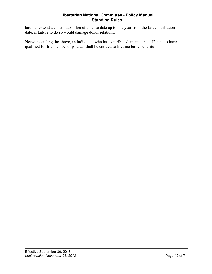basis to extend a contributor's benefits lapse date up to one year from the last contribution date, if failure to do so would damage donor relations.

Notwithstanding the above, an individual who has contributed an amount sufficient to have qualified for life membership status shall be entitled to lifetime basic benefits.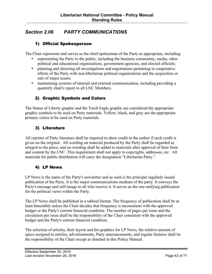## <span id="page-42-0"></span>*Section 2.06 PARTY COMMUNICATIONS*

#### 1) Official Spokesperson

The Chair represents and serves as the chief spokesman of the Party as appropriate, including:

- representing the Party to the public, including the business community, media, other political and educational organizations, government agencies, and elected officials;
- planning and directing all investigations and negotiations pertaining to cooperative efforts of the Party with non-libertarian political organizations and the acquisition or sale of major assets;
- maintaining systems of internal and external communication, including providing a quarterly chair's report to all LNC Members.

## 2) Graphic Symbols and Colors

The Statue of Liberty graphic and the Torch Eagle graphic are considered the appropriate graphic symbols to be used on Party materials. Yellow, black, and grey are the appropriate primary colors to be used on Party materials.

## 3) Literature

All reprints of Party literature shall be required to show credit to the author if such credit is given on the original. All wording on material produced by the Party shall be regarded as integral to the piece, and no wording shall be added to materials after approval of their form and content by the LNC. This requirement shall not apply to copyrights, addresses, etc. All materials for public distribution will carry the designation "Libertarian Party."

#### 4) LP News

LP News is the name of the Party's newsletter and as such is the principal regularly issued publication of the Party. It is the major communications medium of the party. It conveys the Party's message and self-image to all who receive it. It serves as the one unifying publication for the political views within the Party.

The LP News shall be published in a tabloid format. The frequency of publication shall be at least bimonthly unless the Chair decides that frequency is inconsistent with the approved budget or the Party's current financial condition. The number of pages per issue and the circulation per issue shall be the responsibility of the Chair consistent with the approved budget and the Party's current financial condition.

The selection of articles, their layout and the graphics for LP News, the relative amount of space assigned to articles, advertisements, Party announcements, and regular features shall be the responsibility of the Chair except as detailed in this Policy Manual.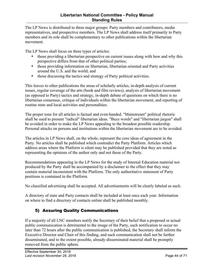#### **Libertarian National Committee - Policy Manual Standing Rules**

<span id="page-43-0"></span>The LP News is distributed to three major groups: Party members and contributors, media representatives, and prospective members. The LP News shall address itself primarily to Party members and its role shall be complementary to other publications within the libertarian movement.

The LP News shall focus on three types of articles:

- those providing a libertarian perspective on current issues along with how and why this perspective differs from that of other political parties;
- those providing information on libertarian, libertarian oriented and Party activities around the U.S. and the world; and
- those discussing the tactics and strategy of Party political activities.

This leaves to other publications the areas of scholarly articles, in-depth analysis of current issues, regular coverage of the arts (book and film reviews), analysis of libertarian movement (as opposed to Party) tactics and strategy, in-depth debate of questions on which there is no libertarian consensus, critique of individuals within the libertarian movement, and reporting of routine state and local activities and personalities.

The proper tone for all articles is factual and even-handed. "Mainstream" political rhetoric shall be used to present "radical" libertarian ideas. "Buzz words" and "libertarian jargon" shall be avoided in order to make the LP News appealing to the broadest possible readership. Personal attacks on persons and institutions within the libertarian movement are to be avoided.

The articles in LP News shall, on the whole, represent the core ideas of agreement in the Party. No articles shall be published which contradict the Party Platform. Articles which address areas where the Platform is silent may be published provided that they are noted as representing the opinions of the author only and not those of the Party.

Recommendations appearing in the LP News for the study of Internal Education material not produced by the Party shall be accompanied by a disclaimer to the effect that they may contain material inconsistent with the Platform. The only authoritative statement of Party positions is contained in the Platform.

No classified advertising shall be accepted. All advertisements will be clearly labeled as such.

A directory of state and Party contacts shall be included at least once each year. Information on where to find a directory of contacts online shall be published monthly.

## 5) Assuring Quality Communications

If a majority of all LNC members notify the Secretary of their belief that a proposed or actual public communication is detrimental to the image of the Party, such notification to occur no later than 72 hours after the public communication is published, the Secretary shall inform the Executive Director and Chair of this finding, and such communication shall not be further disseminated, and to the extent possible, already-disseminated material shall be promptly removed from the public sphere.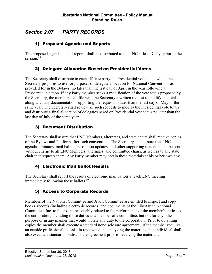## <span id="page-44-0"></span>*Section 2.07 PARTY RECORDS*

## 1) Proposed Agenda and Reports

The proposed agenda and all reports shall be distributed to the LNC at least 7 days prior to the session.<sup>49</sup>

#### 2) Delegate Allocation Based on Presidential Votes

The Secretary shall distribute to each affiliate party the Presidential vote totals which the Secretary proposes to use for purposes of delegate allocation for National Conventions as provided for in the Bylaws, no later than the last day of April in the year following a Presidential election. If any Party member seeks a modification of the vote totals proposed by the Secretary, the member shall file with the Secretary a written request to modify the totals along with any documentation supporting the request no later than the last day of May of the same year. The Secretary shall review all such requests to modify the Presidential vote totals and distribute a final allocation of delegates based on Presidential vote totals no later than the last day of July of the same year.

## 3) Document Distribution

The Secretary shall assure that LNC Members, alternates, and state chairs shall receive copies of the Bylaws and Platform after each convention. The Secretary shall assure that LNC agendas, minutes, mail ballots, resolution updates, and other supporting material shall be sent without charge to all LNC Members, alternates, and committee chairs, as well as to any state chair that requests them. Any Party member may obtain these materials at his or her own cost.

#### 4) Electronic Mail Ballot Results

The Secretary shall report the results of electronic mail ballots at each LNC meeting immediately following those ballots. $50$ 

## 5) Access to Corporate Records

Members of the National Committee and Audit Committee are entitled to inspect and copy books, records (including electronic records) and documents of the Libertarian National Committee, Inc. to the extent reasonably related to the performance of the member's duties to the corporation, including those duties as a member of a committee, but not for any other purpose or in any manner that would violate any duty to the corporation. Prior to obtaining copies the member shall execute a standard nondisclosure agreement. If the member requires an outside professional to assist in reviewing and analyzing the materials, that individual shall also execute a standard nondisclosure agreement prior to receiving the materials.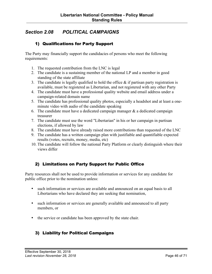## <span id="page-45-0"></span>*Section 2.08 POLITICAL CAMPAIGNS*

#### 1) Qualifications for Party Support

The Party may financially support the candidacies of persons who meet the following requirements:

- 1. The requested contribution from the LNC is legal
- 2. The candidate is a sustaining member of the national LP and a member in good standing of the state affiliate
- 3. The candidate is legally qualified to hold the office  $\&$  if partisan party registration is available, must be registered as Libertarian, and not registered with any other Party
- 4. The candidate must have a professional quality website and email address under a campaign-related domain name
- 5. The candidate has professional quality photos, especially a headshot and at least a oneminute video with audio of the candidate speaking
- 6. The candidate must have a dedicated campaign manager  $\&$  a dedicated campaign treasurer
- 7. The candidate must use the word "Libertarian" in his or her campaign in partisan elections, if allowed by law
- 8. The candidate must have already raised more contributions than requested of the LNC
- 9. The candidate has a written campaign plan with justifiable and quantifiable expected results (votes, recruits, money, media, etc)
- 10. The candidate will follow the national Party Platform or clearly distinguish where their views differ

## 2) Limitations on Party Support for Public Office

Party resources shall not be used to provide information or services for any candidate for public office prior to the nomination unless:

- such information or services are available and announced on an equal basis to all Libertarians who have declared they are seeking that nomination,
- such information or services are generally available and announced to all party members, or
- the service or candidate has been approved by the state chair.

#### 3) Liability for Political Campaigns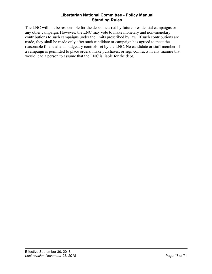#### **Libertarian National Committee - Policy Manual Standing Rules**

The LNC will not be responsible for the debts incurred by future presidential campaigns or any other campaign. However, the LNC may vote to make monetary and non-monetary contributions to such campaigns under the limits prescribed by law. If such contributions are made, they shall be made only after such candidate or campaign has agreed to meet the reasonable financial and budgetary controls set by the LNC. No candidate or staff member of a campaign is permitted to place orders, make purchases, or sign contracts in any manner that would lead a person to assume that the LNC is liable for the debt.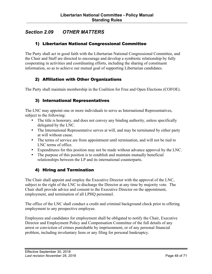## <span id="page-47-0"></span>*Section 2.09 OTHER MATTERS*

#### 1) Libertarian National Congressional Committee

The Party shall act in good faith with the Libertarian National Congressional Committee, and the Chair and Staff are directed to encourage and develop a symbiotic relationship by fully cooperating in activities and coordinating efforts, including the sharing of constituent information, so as to achieve our mutual goal of supporting Libertarian candidates.

## 2) Affiliation with Other Organizations

The Party shall maintain membership in the Coalition for Free and Open Elections (COFOE).

#### 3) International Representatives

The LNC may appoint one or more individuals to serve as International Representatives, subject to the following:

- The title is honorary, and does not convey any binding authority, unless specifically delegated by the LNC.
- The International Representative serves at will, and may be terminated by either party at will without cause.
- The terms of service are from appointment until termination, and will not be tied to LNC terms of office.
- Expenditures for this position may not be made without advance approval by the LNC.
- The purpose of this position is to establish and maintain mutually beneficial relationships between the LP and its international counterparts.

#### 4) Hiring and Termination

The Chair shall appoint and employ the Executive Director with the approval of the LNC, subject to the right of the LNC to discharge the Director at any time by majority vote. The Chair shall provide advice and consent to the Executive Director on the appointment, employment, and termination of all LPHQ personnel.

The office of the LNC shall conduct a credit and criminal background check prior to offering employment to any prospective employee.

Employees and candidates for employment shall be obligated to notify the Chair, Executive Director and Employment Policy and Compensation Committee of the full details of any arrest or conviction of crimes punishable by imprisonment, or of any personal financial problem, including involuntary liens or any filing for personal bankruptcy.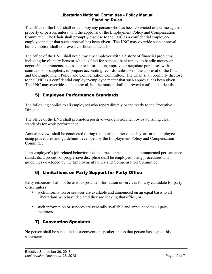#### **Libertarian National Committee - Policy Manual Standing Rules**

<span id="page-48-0"></span>The office of the LNC shall not employ any person who has been convicted of a crime against property or person, unless with the approval of the Employment Policy and Compensation Committee. The Chair shall promptly disclose to the LNC as a confidential employeremployee matter that such approval has been given. The LNC may override such approval, but the motion shall not reveal confidential details.

The office of the LNC shall not allow any employee with a history of financial problems, including involuntary liens or who has filed for personal bankruptcy, to handle money or negotiable instruments, access donor information, approve or negotiate purchases with contractors or suppliers, or prepare accounting records, unless with the approval of the Chair and the Employment Policy and Compensation Committee. The Chair shall promptly disclose to the LNC as a confidential employer-employee matter that such approval has been given. The LNC may override such approval, but the motion shall not reveal confidential details.

## 5) Employee Performance Standards

The following applies to all employees who report directly or indirectly to the Executive **Director** 

The office of the LNC shall promote a positive work environment by establishing clear standards for work performance.

Annual reviews shall be conducted during the fourth quarter of each year for all employees using procedures and guidelines developed by the Employment Policy and Compensation Committee.

If an employee's job-related behavior does not meet expected and communicated performance standards, a process of progressive discipline shall be employed, using procedures and guidelines developed by the Employment Policy and Compensation Committee.

## 6) Limitations on Party Support for Party Office

Party resources shall not be used to provide information or services for any candidate for party office unless:

- such information or services are available and announced on an equal basis to all Libertarians who have declared they are seeking that office, or
- such information or services are generally available and announced to all party members.

## 7) Convention Speakers

No person shall be scheduled as a convention speaker unless that person has signed this statement: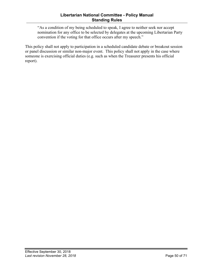"As a condition of my being scheduled to speak, I agree to neither seek nor accept nomination for any office to be selected by delegates at the upcoming Libertarian Party convention if the voting for that office occurs after my speech."

This policy shall not apply to participation in a scheduled candidate debate or breakout session or panel discussion or similar non-major event. This policy shall not apply in the case where someone is exercising official duties (e.g. such as when the Treasurer presents his official report).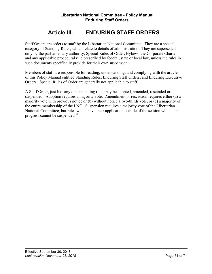# **Article III. ENDURING STAFF ORDERS**

<span id="page-50-0"></span>Staff Orders are orders to staff by the Libertarian National Committee. They are a special category of Standing Rules, which relate to details of administration. They are superseded only by the parliamentary authority, Special Rules of Order, Bylaws, the Corporate Charter and any applicable procedural rule prescribed by federal, state or local law, unless the rules in such documents specifically provide for their own suspension.

Members of staff are responsible for reading, understanding, and complying with the articles of this Policy Manual entitled Standing Rules, Enduring Staff Orders, and Enduring Executive Orders. Special Rules of Order are generally not applicable to staff.

A Staff Order, just like any other standing rule, may be adopted, amended, rescinded or suspended. Adoption requires a majority vote. Amendment or rescission requires either (a) a majority vote with previous notice or (b) without notice a two-thirds vote, or (c) a majority of the entire membership of the LNC. Suspension requires a majority vote of the Libertarian National Committee, but rules which have their application outside of the session which is in progress cannot be suspended.<sup>51</sup>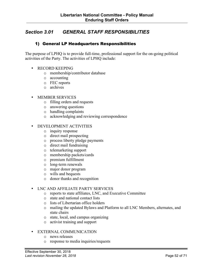## <span id="page-51-0"></span>*Section 3.01 GENERAL STAFF RESPONSIBILITIES*

#### 1) General LP Headquarters Responsibilities

The purpose of LPHQ is to provide full-time, professional support for the on-going political activities of the Party. The activities of LPHQ include:

- RECORD KEEPING
	- o membership/contributor database
	- o accounting
	- o FEC reports
	- o archives
- MEMBER SERVICES
	- o filling orders and requests
	- o answering questions
	- o handling complaints
	- o acknowledging and reviewing correspondence
- DEVELOPMENT ACTIVITIES
	- o inquiry response
	- o direct mail prospecting
	- o process liberty pledge payments
	- o direct mail fundraising
	- o telemarketing support
	- o membership packets/cards
	- o premium fulfillment
	- o long-term renewals
	- o major donor program
	- o wills and bequests
	- o donor thanks and recognition

#### • LNC AND AFFILIATE PARTY SERVICES

- o reports to state affiliates, LNC, and Executive Committee
- o state and national contact lists
- o lists of Libertarian office holders
- o mailing the updated Bylaws and Platform to all LNC Members, alternates, and state chairs
- o state, local, and campus organizing
- o activist training and support

#### • EXTERNAL COMMUNICATION

- o news releases
- o response to media inquiries/requests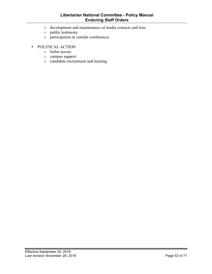#### **Libertarian National Committee - Policy Manual Enduring Staff Orders**

- o development and maintenance of media contacts and lists
- o public testimony
- o participation in outside conferences
- POLITICAL ACTION
	- o ballot access
	- o campus support
	- o candidate recruitment and training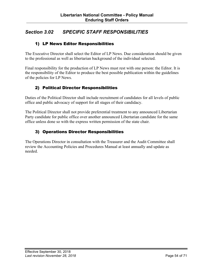## <span id="page-53-0"></span>*Section 3.02 SPECIFIC STAFF RESPONSIBILITIES*

#### 1) LP News Editor Responsibilities

The Executive Director shall select the Editor of LP News. Due consideration should be given to the professional as well as libertarian background of the individual selected.

Final responsibility for the production of LP News must rest with one person: the Editor. It is the responsibility of the Editor to produce the best possible publication within the guidelines of the policies for LP News.

## 2) Political Director Responsibilities

Duties of the Political Director shall include recruitment of candidates for all levels of public office and public advocacy of support for all stages of their candidacy.

The Political Director shall not provide preferential treatment to any announced Libertarian Party candidate for public office over another announced Libertarian candidate for the same office unless done so with the express written permission of the state chair.

## 3) Operations Director Responsibilities

The Operations Director in consultation with the Treasurer and the Audit Committee shall review the Accounting Policies and Procedures Manual at least annually and update as needed.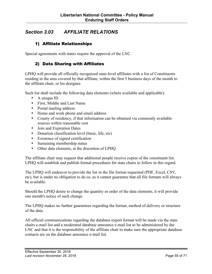## <span id="page-54-0"></span>*Section 3.03 AFFILIATE RELATIONS*

#### 1) Affiliate Relationships

Special agreements with states require the approval of the LNC.

#### 2) Data Sharing with Affiliates

LPHQ will provide all officially recognized state-level affiliates with a list of Constituents residing in the area covered by that affiliate, within the first 5 business days of the month to the affiliate chair, or his designee.

Such list shall include the following data elements (where available and applicable):

- A unique ID
- First, Middle and Last Name
- Postal mailing address
- Home and work phone and email address
- County of residency, if that information can be obtained via commonly available sources within reasonable cost
- Join and Expiration Dates
- Donation classification level (basic, life, etc)
- Existence of signed certification
- Sustaining membership status
- Other data elements, at the discretion of LPHQ

The affiliate chair may request that additional people receive copies of the constituent list. LPHQ will establish and publish formal procedures for state chairs to follow in this regard.

The LPHQ will endeavor to provide the list in the file format requested (PDF, Excel, CSV, etc), but is under no obligation to do so, as it cannot guarantee that all file formats will always be available.

Should the LPHQ desire to change the quantity or order of the data elements, it will provide one month's notice of such change.

The LPHQ makes no further guarantees regarding the format, method of delivery or structure of the data.

All official communications regarding the database export format will be made via the state chairs e-mail list and a moderated database announce e-mail list to be administered by the LNC and that it is the responsibility of the affiliate chair to make sure the appropriate database contacts are on the database announce e-mail list.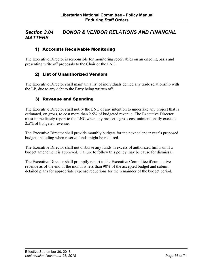## <span id="page-55-0"></span>*Section 3.04 DONOR & VENDOR RELATIONS AND FINANCIAL MATTERS*

#### 1) Accounts Receivable Monitoring

The Executive Director is responsible for monitoring receivables on an ongoing basis and presenting write off proposals to the Chair or the LNC.

#### 2) List of Unauthorized Vendors

The Executive Director shall maintain a list of individuals denied any trade relationship with the LP, due to any debt to the Party being written off.

#### 3) Revenue and Spending

The Executive Director shall notify the LNC of any intention to undertake any project that is estimated, on gross, to cost more than 2.5% of budgeted revenue. The Executive Director must immediately report to the LNC when any project's gross cost unintentionally exceeds 2.5% of budgeted revenue.

The Executive Director shall provide monthly budgets for the next calendar year's proposed budget, including when reserve funds might be required.

The Executive Director shall not disburse any funds in excess of authorized limits until a budget amendment is approved. Failure to follow this policy may be cause for dismissal.

The Executive Director shall promptly report to the Executive Committee if cumulative revenue as of the end of the month is less than 90% of the accepted budget and submit detailed plans for appropriate expense reductions for the remainder of the budget period.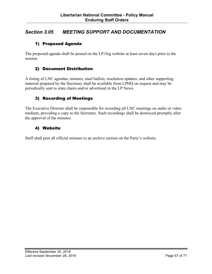## <span id="page-56-0"></span>*Section 3.05 MEETING SUPPORT AND DOCUMENTATION*

#### 1) Proposed Agenda

The proposed agenda shall be posted on the LP.Org website at least seven days prior to the session.

#### 2) Document Distribution

A listing of LNC agendas, minutes, mail ballots, resolution updates, and other supporting material prepared by the Secretary shall be available from LPHQ on request and may be periodically sent to state chairs and/or advertised in the LP News.

## 3) Recording of Meetings

The Executive Director shall be responsible for recording all LNC meetings on audio or video medium, providing a copy to the Secretary. Such recordings shall be destroyed promptly after the approval of the minutes.

#### 4) Website

Staff shall post all official minutes to an archive section on the Party's website.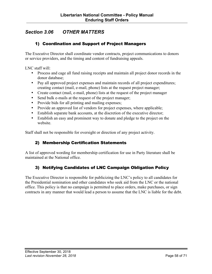## <span id="page-57-0"></span>*Section 3.06 OTHER MATTERS*

#### 1) Coordination and Support of Project Managers

The Executive Director shall coordinate vendor contracts, project communications to donors or service providers, and the timing and content of fundraising appeals.

LNC staff will:

- Process and cage all fund raising receipts and maintain all project donor records in the donor database;
- Pay all approved project expenses and maintain records of all project expenditures; creating contact (mail, e-mail, phone) lists at the request project manager;
- Create contact (mail, e-mail, phone) lists at the request of the project manager
- Send bulk e-mails at the request of the project manager;
- Provide bids for all printing and mailing expenses;
- Provide an approved list of vendors for project expenses, where applicable;
- Establish separate bank accounts, at the discretion of the executive director;
- Establish an easy and prominent way to donate and pledge to the project on the website.

Staff shall not be responsible for oversight or direction of any project activity.

#### 2) Membership Certification Statements

A list of approved wording for membership certification for use in Party literature shall be maintained at the National office.

#### 3) Notifying Candidates of LNC Campaign Obligation Policy

The Executive Director is responsible for publicizing the LNC's policy to all candidates for the Presidential nomination and other candidates who seek aid from the LNC or the national office. This policy is that no campaign is permitted to place orders, make purchases, or sign contracts in any manner that would lead a person to assume that the LNC is liable for the debt.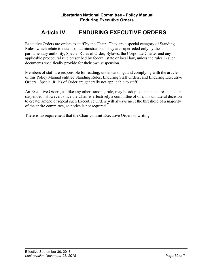# **Article IV. ENDURING EXECUTIVE ORDERS**

<span id="page-58-0"></span>Executive Orders are orders to staff by the Chair. They are a special category of Standing Rules, which relate to details of administration. They are superseded only by the parliamentary authority, Special Rules of Order, Bylaws, the Corporate Charter and any applicable procedural rule prescribed by federal, state or local law, unless the rules in such documents specifically provide for their own suspension.

Members of staff are responsible for reading, understanding, and complying with the articles of this Policy Manual entitled Standing Rules, Enduring Staff Orders, and Enduring Executive Orders. Special Rules of Order are generally not applicable to staff.

An Executive Order, just like any other standing rule, may be adopted, amended, rescinded or suspended. However, since the Chair is effectively a committee of one, his unilateral decision to create, amend or repeal such Executive Orders will always meet the threshold of a majority of the entire committee, so notice is not required.<sup>52</sup>

There is no requirement that the Chair commit Executive Orders to writing.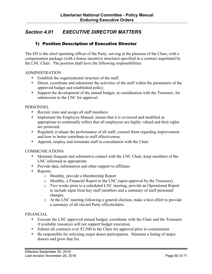## <span id="page-59-0"></span>*Section 4.01 EXECUTIVE DIRECTOR MATTERS*

#### 1) Position Description of Executive Director

The ED is the chief operating officer of the Party, serving at the pleasure of the Chair, with a compensation package (with a bonus incentive structure) specified in a contract negotiated by the LNC Chair. The position shall have the following responsibilities:

#### ADMINISTRATION

- Establish the organizational structure of the staff.
- Direct, coordinate and administer the activities of the staff within the parameters of the approved budget and established policy.
- Support the development of the annual budget, in coordination with the Treasurer, for submission to the LNC for approval.

#### **PERSONNEL**

- Recruit, train and assign all staff members
- Implement the Employee Manual; ensure that it is reviewed and modified as appropriate to continually reflect that all employees are highly valued and their rights are protected.
- Regularly evaluate the performance of all staff; counsel them regarding improvement and how to better contribute to staff effectiveness.
- Appoint, employ and terminate staff in consultation with the Chair.

#### COMMUNICATIONS

- Maintain frequent and substantive contact with the LNC Chair; keep members of the LNC informed as appropriate
- Provide data, information and other support to affiliates
- Reports:
	- o Monthly, provide a Membership Report
	- o Monthly, a Financial Report to the LNC (upon approval by the Treasurer).
	- o Two weeks prior to a scheduled LNC meeting, provide an Operational Report to include input from key staff members and a summary of staff personnel changes.
	- o At the LNC meeting following a general election, make a best effort to provide a summary of all elected Party officeholders.

#### FINANCIAL

- Execute the LNC approved annual budget; coordinate with the Chair and the Treasurer if available resources will not support budget execution.
- Submit all contracts over \$7,500 to the Chair for approval prior to commitment.
- Be responsible for soliciting major donor participation. Maintain a listing of major donors and grow that list.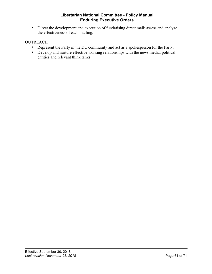• Direct the development and execution of fundraising direct mail; assess and analyze the effectiveness of each mailing.

#### **OUTREACH**

- Represent the Party in the DC community and act as a spokesperson for the Party.
- Develop and nurture effective working relationships with the news media, political entities and relevant think tanks.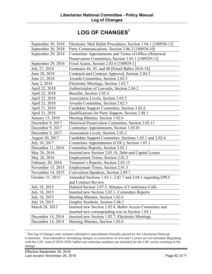# LOG OF CHANGES<sup>1</sup>

<span id="page-61-0"></span>

| September 30, 2018 | Electronic Mail Ballot Procedures, Section 1.04.1 [180930-13] |
|--------------------|---------------------------------------------------------------|
| September 30, 2018 | Party Communications, Section 2.06.2 [180930-10]              |
| September 29, 2018 | Committee Appointments and Terms of Office (Historical        |
|                    | Preservation Committee), Section 1.03.1 [180929-13]           |
| September 29, 2018 | Fixed Assets, Section 2.03.6 [180929-1]                       |
| July 27, 2018      | Footnotes 44, 45, and 48 [Email Ballot 2018-18]               |
| June 30, 2018      | Contracts and Contract Approval, Section 2.04.3               |
| June 21, 2018      | Awards Committee, Section 2.02.5                              |
| June 2, 2018       | Electronic Meetings, Section 1.02.7                           |
| April 22, 2018     | Authorization of Lawsuits, Section 2.04.2                     |
| April 22, 2018     | Benefits, Section 2.05.4                                      |
| April 22, 2018     | Association Levels, Section 2.05.2                            |
| April 22, 2018     | Awards Committee, Section 2.02.5                              |
| April 21, 2018     | Candidate Support Committee, Section 2.02.6                   |
| April 21, 2018     | Qualifications for Party Support, Section 2.08.1              |
| January 15, 2018   | Meeting Minutes, Section 1.02.6                               |
| December 9, 2017   | Historical Preservation Committee, Section 2.02.11            |
| December 9, 2017   | Committee Appointments, Section 1.03.01                       |
| December 9, 2017   | Association Levels, Section 2.05.2                            |
| August 20, 2017    | Candidate Support Committee, Sections 1.03.1 and 2.02.6       |
| July 10, 2017      | Committee Appointments (COC), Section 1.03.1                  |
| December 11, 2016  | Committee Reports, Section 2.02.1                             |
| May 26, 2016       | Inserted new Section 2.03.18, Debt and Capital Leases         |
| May 26, 2016       | Employment Terms, Section 2.01.3                              |
| February 20, 2016  | Treasurer's Reports, Section 2.03.15                          |
| November 15, 2015  | Employment Terms, Section 2.01.3                              |
| November 14, 2015  | Convention Speakers, Section 2.09.7                           |
| October 31, 2015   | Amended Sections 1.03.1, 2.02.7 and 2.04.3 regarding EPCC     |
|                    | and Contract Review                                           |
| July 18, 2015      | Deleted Section 2.07.5, Minutes of Conference Calls           |
| July 18, 2015      | Inserted new Section 2.02.1, Committee Reports                |
| July 18, 2015      | Meeting Minutes, Section 1.02.6                               |
| July 18, 2015      | Graphic Symbols, Section 2.06.2                               |
| March 28, 2015     | Inserted new Section 2.02.8, Ballot Access Committee and      |
|                    | inserted new corresponding row in Section 1.03.1              |
| December 14, 2014  | Inserted new Section 1.02.7, Electronic Meetings              |
| December 14, 2014  | Meeting Minutes, Section 1.02.6                               |
|                    |                                                               |

<sup>&</sup>lt;sup>1</sup> This log of changes only includes substantive amendments formally passed by the Libertarian National Committee. Non-substantive formatting changes or corrections of scrivener's errors are not included. Beginning with the LNC term of 2018-2020, ballot/vote reference numbers are included for the LNC action resulting in the change.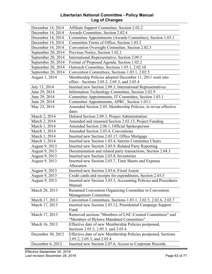#### **Libertarian National Committee - Policy Manual Log of Changes**

| December 14, 2014  | Affiliate Support Committee, Section 2.02.2                     |
|--------------------|-----------------------------------------------------------------|
| December 14, 2014  | Awards Committee, Section 2.02.4                                |
| December 14, 2014  | Committee Appointments (Awards Committee), Section 1.03.1       |
| December 14, 2014  | Committee Terms of Office, Section 1.03.2                       |
| December 14, 2014  | Convention Oversight Committee, Section 2.02.5                  |
| September 20, 2014 | Previous Notice, Section 1.02.1                                 |
| September 20, 2014 | International Representative, Section 2.09.3                    |
| September 20, 2014 | Format of Proposed Agenda, Section 1.02.2                       |
| September 20, 2014 | Outreach Committee, Sections 1.03.1, 2.02.10                    |
| September 20, 2014 | Convention Committees, Sections 1.03.1, 2.02.5                  |
| August 1, 2014     | Membership Policies adopted December 11, 2011 went into         |
|                    | effect - Sections 2.05.2, 2.05.3, and 2.05.4                    |
| July 13, 2014      | Inserted new Section 2.09.3, International Representatives      |
| June 29, 2014      | Information Technology Committee, Section 2.02.9                |
| June 29, 2014      | Committee Appointments, IT Committee, Section 1.03.1            |
| June 29, 2014      | Committee Appointments, APRC, Section 1.03.1                    |
| May 22, 2014       | Amended Section 2.05, Membership Policies, to revise effective  |
|                    | dates                                                           |
| March 2, 2014      | Deleted Section 2.09.3, Project Administration                  |
| March 2, 2014      | Amended and renamed Section 2.03.13, Project Funding            |
| March 1, 2014      | Amended Section 2.06.1, Official Spokesperson                   |
| March 1, 2014      | Amended Section 2.03.4, Conventions                             |
| March 1, 2014      | Inserted new Section 2.03.17, Office Mortgage                   |
| March 1, 2014      | Inserted new Section 1.03.4, Interim Committee Chairs           |
| August 9, 2013     | Inserted new Section 2.03.9, Related Party Reporting            |
| August 9, 2013     | Documentation and related party transactions, Section 2.04.3    |
| August 9, 2013     | Inserted new Section 2.03.8, Inventories                        |
| August 9, 2013     | Inserted new Section 2.03.7, Time Sheets and Expense            |
|                    | Allocation                                                      |
| August 9, 2013     | Inserted new Section 2.03.6, Fixed Assets                       |
| August 9, 2013     | Credit cards and receipts for expenditures, Section 2.03.5      |
| August 9, 2013     | Inserted new Section 3.03.3, Accounting Policies and Procedures |
|                    | Manual                                                          |
| March 28, 2013     | Renamed Convention Organizing Committee to Convention           |
|                    | Management Committee                                            |
| March 17, 2013     | Convention Committees, Sections 1.03.1, 2.02.5, 2.02.6, 2.02.7  |
| March 17, 2013     | Inserted new Section 2.03.12, Presidential Campaign Support     |
|                    | Fund                                                            |
| March 17, 2013     | Removed sections "Members of LNC-Created Committees" and        |
|                    | "Members of Bylaws-Mandated Committees"                         |
| March 16, 2013     | Effective date of new Membership Policies postponed,            |
|                    | Sections 2.05.2, 2.05.3, and 2.05.4                             |
| December 30, 2012  | Effective date of new Membership Policies postponed, Sections   |
|                    | 2.05.2, 2.05.3, and 2.05.4                                      |
| December 6, 2012   | Inserted new Section 2.07.6, Access to Corporate Records        |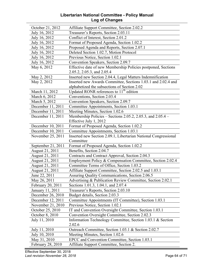#### **Libertarian National Committee - Policy Manual Log of Changes**

| October 21, 2012         | Affiliate Support Committee, Section 2.02.2                          |
|--------------------------|----------------------------------------------------------------------|
| July 16, 2012            | Treasurer's Reports, Section 2.03.11                                 |
| July 16, 2012            | Conflict of Interest, Section 2.01.2                                 |
| July 16, 2012            | Format of Proposed Agenda, Section 1.02.2                            |
| July 16, 2012            | Proposed Agenda and Reports, Section 2.07.1                          |
| July 16, 2012            | Deleted Section 1.02.7, Motion Protocol                              |
| July 16, 2012            | Previous Notice, Section 1.02.1                                      |
| July 16, 2012            | Convention Speakers, Section 2.09.7                                  |
| May 6, 2012              | Effective date of new Membership Policies postponed, Sections        |
|                          | 2.05.2, 2.05.3, and 2.05.4                                           |
| May 2, 2012              | Inserted new Section 2.04.4, Legal Matters Indemnification           |
| May 2, 2012              | Inserted new Awards Committee, Sections 1.03.1 and 2.02.4 and        |
|                          | alphabetized the subsections of Section 2.02                         |
| March 11, 2012           | Updated RONR references to 11 <sup>th</sup> edition                  |
| March 6, 2012            | Conventions, Section 2.03.4                                          |
| March 5, 2012            | Convention Speakers, Section 2.09.7                                  |
| December 11, 2011        | Committee Appointments, Section 1.03.1                               |
| December 11, 2011        | Meeting Minutes, Section 1.02.6                                      |
| December 11, 2011        | Membership Policies – Sections 2.05.2, 2.05.3, and 2.05.4 –          |
|                          | Effective July 1, 2012                                               |
| December 10, 2011        | Format of Proposed Agenda, Section 1.02.2                            |
| December 10, 2011        | Committee Appointments, Section 1.03.1                               |
| November 25, 2011        | Inserted new Section 2.09.1, Libertarian National Congressional      |
|                          | Committee                                                            |
| September 21, 2011       | Format of Proposed Agenda, Section 1.02.2                            |
| August 21, 2011          | Benefits, Section 2.04.7                                             |
| August 21, 2011          | Contracts and Contract Approval, Section 2.04.3                      |
| August 21, 2011          | Employment Policy & Compensation Committee, Section 2.02.4           |
| August 21, 2011          | Committee Terms of Office, Section 1.03.2                            |
| August 21, 2011          | Affiliate Support Committee, Section 2.02.5 and 1.03.1               |
| June 22, 2011            | Assuring Quality Communications, Section 2.06.5                      |
| May 26, 2011             | Advertising & Publication Review Committee, Section 2.02.1           |
| <b>February 20, 2011</b> | Sections 1.01.3, 1.04.1, and 2.07.4                                  |
| January 11, 2011         | Treasurer's Reports, Section 2.03.10                                 |
| December 26, 2010        | Budget details, Section 2.03.3                                       |
| December 12, 2011        | Committee Appointments (IT Committee), Section 1.03.1                |
| November 21, 2010        | Previous Notice, Section 1.02.1                                      |
| October 25, 2010         | IT and Convention Oversight Committee, Section 1.03.1                |
| October 8, 2010          | Convention Oversight Committee, Section 2.02.3                       |
| July 11, 2010            | Information Technology Committee, Section 1.03.1 & Section<br>2.02.6 |
| July 11, 2010            | Outreach Committee, Section 1.03.1 & Section 2.02.7                  |
| July 10, 2010            | Meeting Minutes, Section 1.02.6                                      |
| May 31, 2010             | EPCC and Convention Committee, Section 1.03.1                        |
| February 28, 2010        | Affiliate Support Committee, Section 2.                              |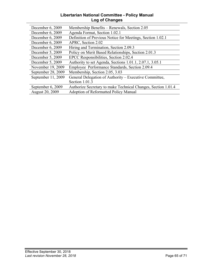#### **Libertarian National Committee - Policy Manual Log of Changes**

| December 6, 2009   | Membership Benefits – Renewals, Section 2.05                  |
|--------------------|---------------------------------------------------------------|
| December 6, 2009   | Agenda Format, Section 1.02.1                                 |
| December 6, 2009   | Definition of Previous Notice for Meetings, Section 1.02.1    |
| December 6, 2009   | APRC, Section 2.02                                            |
| December 6, 2009   | Hiring and Termination, Section 2.09.3                        |
| December 5, 2009   | Policy on Merit Based Relationships, Section 2.01.3           |
| December 5, 2009   | EPCC Responsibilities, Section 2.02.4                         |
| December 5, 2009   | Authority to set Agenda, Sections 1.01.1, 2.07.1, 3.05.1      |
| November 19, 2009  | Employee Performance Standards, Section 2.09.4                |
| September 28, 2009 | Membership, Section 2.05, 3.03                                |
| September 11, 2009 | General Delegation of Authority – Executive Committee,        |
|                    | Section 1.01.3                                                |
| September 6, 2009  | Authorize Secretary to make Technical Changes, Section 1.01.4 |
| August 20, 2009    | <b>Adoption of Reformatted Policy Manual</b>                  |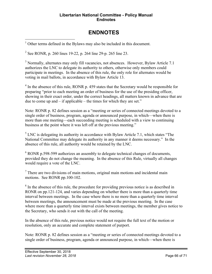#### **Libertarian National Committee - Policy Manual Endnotes**

# **ENDNOTES**

<span id="page-65-0"></span> $1$  Other terms defined in the Bylaws may also be included in this document.

<sup>2</sup> See RONR, p. 260 lines 19-22, p. 264 line 29-p. 265 line 23.

<sup>3</sup> Normally, alternates may only fill vacancies, not absences. However, Bylaw Article 7.1 authorizes the LNC to delegate its authority to others, otherwise only members could participate in meetings. In the absence of this rule, the only role for alternates would be voting in mail ballots, in accordance with Bylaw Article 13.

 $4\,\text{m}$  the absence of this rule, RONR p. 459 states that the Secretary would be responsible for preparing "prior to each meeting an order of business for the use of the presiding officer, showing in their exact order, under the correct headings, all matters known in advance that are due to come up and – if applicable – the times for which they are set."

Note: RONR p. 82 defines session as a "meeting or series of connected meetings devoted to a single order of business, program, agenda or announced purpose, in which—when there is more than one meeting—each succeeding meeting is scheduled with a view to continuing business at the point where it was left off at the previous meeting."

 $<sup>5</sup>$  LNC is delegating its authority in accordance with Bylaw Article 7.1, which states "The</sup> National Committee may delegate its authority in any manner it deems necessary." In the absence of this rule, all authority would be retained by the LNC.

 $6$  RONR p.598-599 authorizes an assembly to delegate technical changes of documents, provided they do not change the meaning. In the absence of this Rule, virtually all changes would require a vote of the LNC.

<sup>7</sup> There are two divisions of main motions, original main motions and incidental main motions. See RONR pp.100-102.

 $8\,$  In the absence of this rule, the procedure for providing previous notice is as described in RONR on pp.121-124, and varies depending on whether there is more than a quarterly time interval between meetings. In the case where there is no more than a quarterly time interval between meetings, the announcement must be made at the previous meeting. In the case where more than a quarterly time interval exists between meetings, the member gives notice to the Secretary, who sends it out with the call of the meeting.

In the absence of this rule, previous notice would not require the full text of the motion or resolution, only an accurate and complete statement of purport.

Note: RONR p. 82 defines session as a "meeting or series of connected meetings devoted to a single order of business, program, agenda or announced purpose, in which—when there is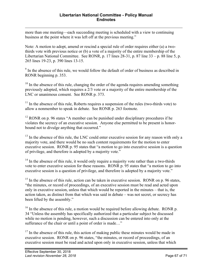$\overline{a}$ more than one meeting—each succeeding meeting is scheduled with a view to continuing business at the point where it was left off at the previous meeting."

Note: A motion to adopt, amend or rescind a special rule of order requires either (a) a twothirds vote with previous notice or (b) a vote of a majority of the entire membership of the Libertarian National Committee. See RONR, p. 17 lines 28-31, p. 87 line 33 – p. 88 line 5, p. 265 lines 19-23, p. 390 lines 13-15.

 $9<sup>9</sup>$  In the absence of this rule, we would follow the default of order of business as described in RONR beginning p. 353.

 $10$  In the absence of this rule, changing the order of the agenda requires amending something previously adopted, which requires a 2/3 vote or a majority of the entire membership of the LNC or unanimous consent. See RONR p. 373.

 $11$  In the absence of this rule, Roberts requires a suspension of the rules (two-thirds vote) to allow a nonmember to speak in debate. See RONR p. 263 footnote.

 $12$  RONR on p. 96 states "A member can be punished under disciplinary procedures if he violates the secrecy of an executive session. Anyone else permitted to be present is honorbound not to divulge anything that occurred."

 $13$  In the absence of this rule, the LNC could enter executive session for any reason with only a majority vote, and there would be no such content requirements for the motion to enter executive session. RONR p. 95 states that "a motion to go into executive session is a question of privilege, and therefore is adopted by a majority vote."

 $14$  In the absence of this rule, it would only require a majority vote rather than a two-thirds vote to enter executive session for these reasons. RONR p. 95 states that "a motion to go into executive session is a question of privilege, and therefore is adopted by a majority vote."

 $15$  In the absence of this rule, action can be taken in executive session. RONR on p. 96 states, "the minutes, or record of proceedings, of an executive session must be read and acted upon only in executive session, unless that which would be reported in the minutes – that is, the action taken, as distinct from that which was said in debate – was not secret, or secrecy has been lifted by the assembly."

 $16$  In the absence of this rule, a motion would be required before allowing debate. RONR p. 34 "Unless the assembly has specifically authorized that a particular subject be discussed while no motion is pending, however, such a discussion can be entered into only at the sufferance of the chair or until a point of order is made..."

 $17$  In the absence of this rule, this action of making public these minutes would be made in executive session. RONR on p. 96 states, "the minutes, or record of proceedings, of an executive session must be read and acted upon only in executive session, unless that which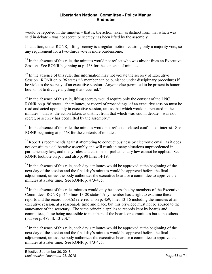$\overline{a}$ would be reported in the minutes – that is, the action taken, as distinct from that which was said in debate – was not secret, or secrecy has been lifted by the assembly."

In addition, under RONR, lifting secrecy is a regular motion requiring only a majority vote, so any requirement for a two-thirds vote is more burdensome.

<sup>18</sup> In the absence of this rule, the minutes would not reflect who was absent from an Executive Session. See RONR beginning at p. 468 for the contents of minutes.

 $19$  In the absence of this rule, this information may not violate the secrecy of Executive Session. RONR on p. 96 states "A member can be punished under disciplinary procedures if he violates the secrecy of an executive session. Anyone else permitted to be present is honorbound not to divulge anything that occurred."

 $20$  In the absence of this rule, lifting secrecy would require only the consent of the LNC. RONR on p. 96 states, "the minutes, or record of proceedings, of an executive session must be read and acted upon only in executive session, unless that which would be reported in the minutes – that is, the action taken, as distinct from that which was said in debate – was not secret, or secrecy has been lifted by the assembly."

 $21$  In the absence of this rule, the minutes would not reflect disclosed conflicts of interest. See RONR beginning at p. 468 for the contents of minutes.

 $^{22}$  Robert's recommends against attempting to conduct business by electronic email, as it does not constitute a deliberative assembly and will result in many situations unprecedented in parliamentary law, and many rules and customs of parliamentary law cannot be applied. See RONR footnote on p. 1 and also p. 98 lines 14-19.

 $^{23}$  In the absence of this rule, each day's minutes would be approved at the beginning of the next day of the session and the final day's minutes would be approved before the final adjournment, unless the body authorizes the executive board or a committee to approve the minutes at a later time. See RONR p. 473-475.

 $24$  In the absence of this rule, minutes would only be accessible by members of the Executive Committee. RONR p. 460 lines 13-20 states "Any member has a right to examine these reports and the record book(s) referred to on p. 459, lines 13-16 including the minutes of an executive session, at a reasonable time and place, but this privilege must not be abused to the annoyance of the secretary. The same principle applies to records kept by boards and committees, these being accessible to members of the boards or committees but to no others (but see p. 487, ll. 13-20)."

 $^{25}$  In the absence of this rule, each day's minutes would be approved at the beginning of the next day of the session and the final day's minutes would be approved before the final adjournment, unless the body authorizes the executive board or a committee to approve the minutes at a later time. See RONR p. 473-475.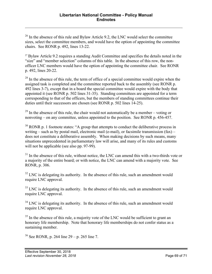<sup>26</sup> In the absence of this rule and Bylaw Article 9.2, the LNC would select the committee sizes, select the committee members, and would have the option of appointing the committee chairs. See RONR p. 492, lines 13-22.

<sup>27</sup> Bylaw Article 9.2 requires a standing Audit Committee and specifies the details noted in the "size" and "member selection" columns of this table. In the absence of this row, the nonofficer LNC members would have the option of appointing the committee chair. See RONR p. 492, lines 20-22.

 $28$  In the absence of this rule, the term of office of a special committee would expire when the assigned task is completed and the committee reported back to the assembly (see RONR p. 492 lines 3-7), except that in a board the special committee would expire with the body that appointed it (see RONR p. 502 lines 31-35). Standing committees are appointed for a term corresponding to that of the officers, but the members of standing committees continue their duties until their successors are chosen (see RONR p. 502 lines 14-25).

 $29$  In the absence of this rule, the chair would not automatically be a member – voting or nonvoting – on any committee, unless appointed to the position. See RONR p. 456-457.

 $30$  RONR p. 1 footnote states: "A group that attempts to conduct the deliberative process in writing – such as by postal mail, electronic mail (e-mail), or facsimile transmission  $(fax)$  – does not constitute a deliberative assembly. When making decisions by such means, many situations unprecedented in parliamentary law will arise, and many of its rules and customs will not be applicable (see also pp. 97-99).

 $31$  In the absence of this rule, without notice, the LNC can amend this with a two-thirds vote or a majority of the entire board; or with notice, the LNC can amend with a majority vote. See RONR, p. 306.

 $32$  LNC is delegating its authority. In the absence of this rule, such an amendment would require LNC approval.

 $33$  LNC is delegating its authority. In the absence of this rule, such an amendment would require LNC approval.

 $34$  LNC is delegating its authority. In the absence of this rule, such an amendment would require LNC approval.

<sup>35</sup> In the absence of this rule, a majority vote of the LNC would be sufficient to grant an honorary life membership. Note that honorary life memberships do not confer status as a sustaining member.

 $36$  See RONR, p. 264 line 29 – p. 265 line 7.

 $\overline{a}$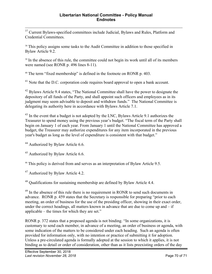<sup>37</sup> Current Bylaws-specified committees include Judicial, Bylaws and Rules, Platform and Credential Committees.

<sup>38</sup> This policy assigns some tasks to the Audit Committee in addition to those specified in Bylaw Article 9.2.

<sup>39</sup> In the absence of this rule, the committee could not begin its work until all of its members were named (see RONR p. 496 lines 8-11).

<sup>40</sup> The term "fixed membership" is defined in the footnote on RONR p. 403.

<sup>41</sup> Note that the D.C. corporation code requires board approval to open a bank account.

<sup>42</sup> Bylaws Article 9.4 states, "The National Committee shall have the power to designate the depository of all funds of the Party, and shall appoint such officers and employees as in its judgment may seem advisable to deposit and withdraw funds." The National Committee is delegating its authority here in accordance with Bylaws Article 7.1.

<sup>43</sup> In the event that a budget is not adopted by the LNC, Bylaws Article 9.1 authorizes the Treasurer to spend money using the previous year's budget. "The fiscal term of the Party shall begin on January 1 of each year. From January 1 until the National Committee has approved a budget, the Treasurer may authorize expenditures for any item incorporated in the previous year's budget as long as the level of expenditure is consistent with that budget."

<sup>44</sup> Authorized by Bylaw Article 6.6.

<sup>45</sup> Authorized by Bylaw Article 6.6.

<sup>46</sup> This policy is derived from and serves as an interpretation of Bylaw Article 9.5.

<sup>47</sup> Authorized by Bylaw Article 4.2.

<sup>48</sup> Qualifications for sustaining membership are defined by Bylaw Article 4.4.

<sup>49</sup> In the absence of this rule there is no requirement in RONR to send such documents in advance. RONR p. 459 states that the Secretary is responsible for preparing "prior to each meeting, an order of business for the use of the presiding officer, showing in their exact order, under the correct headings, all matters known in advance that are due to come up and – if applicable – the times for which they are set."

RONR p. 372 states that a proposed agenda is not binding. "In some organizations, it is customary to send each member, in advance of a meeting, an order of business or agenda, with some indication of the matters to be considered under each heading. Such an agenda is often provided for information only, with no intention or practice of submitting it for adoption. Unless a pre-circulated agenda is formally adopted at the session to which it applies, it is not binding as to detail or order of consideration, other than as it lists preexisting orders of the day